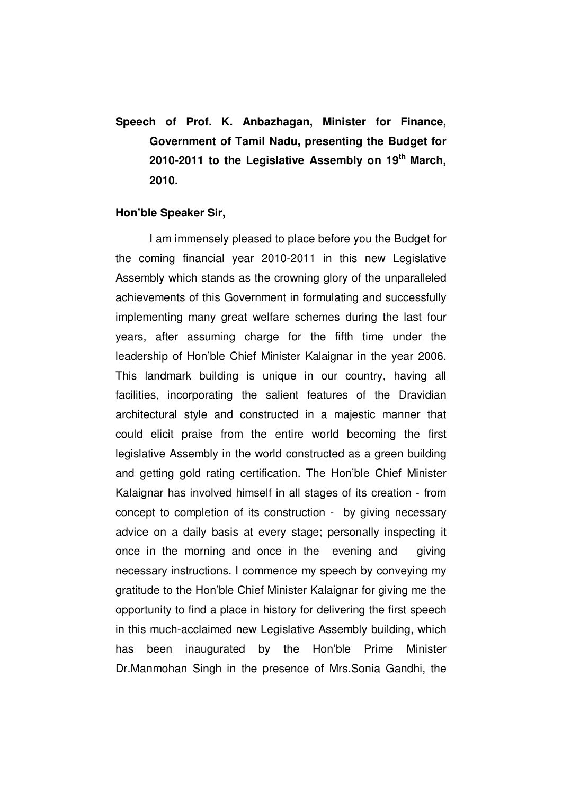**Speech of Prof. K. Anbazhagan, Minister for Finance, Government of Tamil Nadu, presenting the Budget for 2010-2011 to the Legislative Assembly on 19th March, 2010.** 

#### **Hon'ble Speaker Sir,**

I am immensely pleased to place before you the Budget for the coming financial year 2010-2011 in this new Legislative Assembly which stands as the crowning glory of the unparalleled achievements of this Government in formulating and successfully implementing many great welfare schemes during the last four years, after assuming charge for the fifth time under the leadership of Hon'ble Chief Minister Kalaignar in the year 2006. This landmark building is unique in our country, having all facilities, incorporating the salient features of the Dravidian architectural style and constructed in a majestic manner that could elicit praise from the entire world becoming the first legislative Assembly in the world constructed as a green building and getting gold rating certification. The Hon'ble Chief Minister Kalaignar has involved himself in all stages of its creation - from concept to completion of its construction - by giving necessary advice on a daily basis at every stage; personally inspecting it once in the morning and once in the evening and giving necessary instructions. I commence my speech by conveying my gratitude to the Hon'ble Chief Minister Kalaignar for giving me the opportunity to find a place in history for delivering the first speech in this much-acclaimed new Legislative Assembly building, which has been inaugurated by the Hon'ble Prime Minister Dr.Manmohan Singh in the presence of Mrs.Sonia Gandhi, the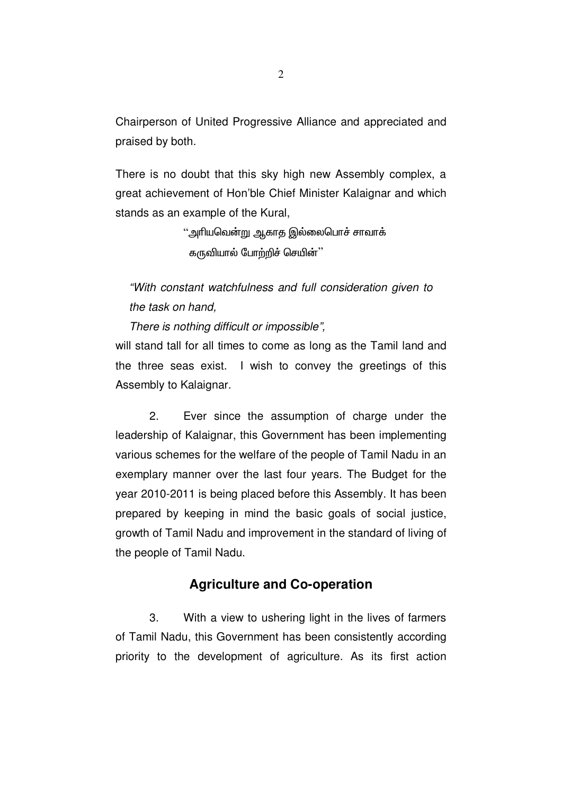Chairperson of United Progressive Alliance and appreciated and praised by both.

There is no doubt that this sky high new Assembly complex, a great achievement of Hon'ble Chief Minister Kalaignar and which stands as an example of the Kural,

> "அரியவென்று ஆகாத இல்லைபொச் சாவாக் கருவியால் போற்றிச் செயின் $"$

"With constant watchfulness and full consideration given to the task on hand,

There is nothing difficult or impossible",

will stand tall for all times to come as long as the Tamil land and the three seas exist. I wish to convey the greetings of this Assembly to Kalaignar.

2. Ever since the assumption of charge under the leadership of Kalaignar, this Government has been implementing various schemes for the welfare of the people of Tamil Nadu in an exemplary manner over the last four years. The Budget for the year 2010-2011 is being placed before this Assembly. It has been prepared by keeping in mind the basic goals of social justice, growth of Tamil Nadu and improvement in the standard of living of the people of Tamil Nadu.

# **Agriculture and Co-operation**

3. With a view to ushering light in the lives of farmers of Tamil Nadu, this Government has been consistently according priority to the development of agriculture. As its first action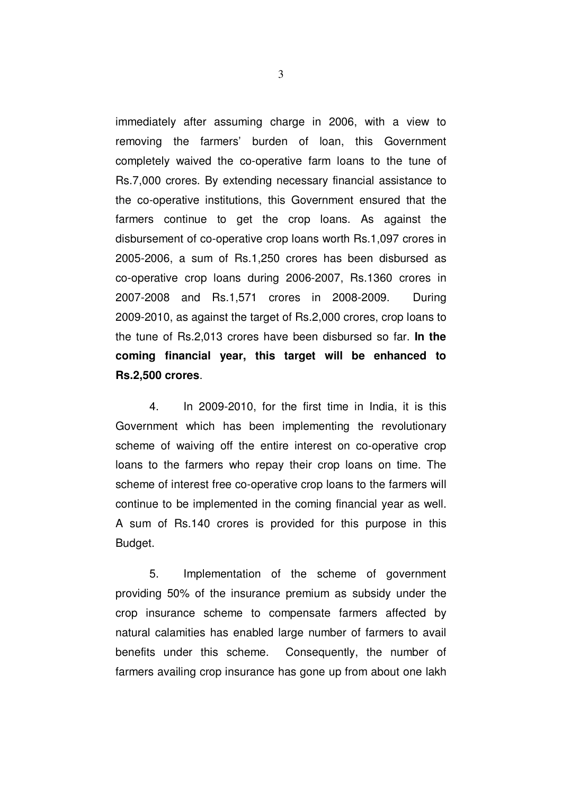immediately after assuming charge in 2006, with a view to removing the farmers' burden of loan, this Government completely waived the co-operative farm loans to the tune of Rs.7,000 crores. By extending necessary financial assistance to the co-operative institutions, this Government ensured that the farmers continue to get the crop loans. As against the disbursement of co-operative crop loans worth Rs.1,097 crores in 2005-2006, a sum of Rs.1,250 crores has been disbursed as co-operative crop loans during 2006-2007, Rs.1360 crores in 2007-2008 and Rs.1,571 crores in 2008-2009. During 2009-2010, as against the target of Rs.2,000 crores, crop loans to the tune of Rs.2,013 crores have been disbursed so far. **In the coming financial year, this target will be enhanced to Rs.2,500 crores**.

4. In 2009-2010, for the first time in India, it is this Government which has been implementing the revolutionary scheme of waiving off the entire interest on co-operative crop loans to the farmers who repay their crop loans on time. The scheme of interest free co-operative crop loans to the farmers will continue to be implemented in the coming financial year as well. A sum of Rs.140 crores is provided for this purpose in this Budget.

5. Implementation of the scheme of government providing 50% of the insurance premium as subsidy under the crop insurance scheme to compensate farmers affected by natural calamities has enabled large number of farmers to avail benefits under this scheme. Consequently, the number of farmers availing crop insurance has gone up from about one lakh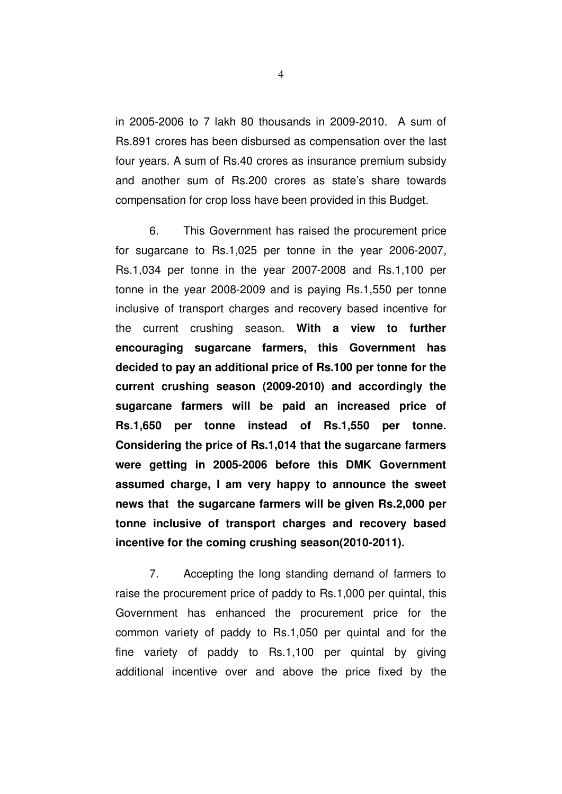in 2005-2006 to 7 lakh 80 thousands in 2009-2010. A sum of Rs.891 crores has been disbursed as compensation over the last four years. A sum of Rs.40 crores as insurance premium subsidy and another sum of Rs.200 crores as state's share towards compensation for crop loss have been provided in this Budget.

6. This Government has raised the procurement price for sugarcane to Rs.1,025 per tonne in the year 2006-2007, Rs.1,034 per tonne in the year 2007-2008 and Rs.1,100 per tonne in the year 2008-2009 and is paying Rs.1,550 per tonne inclusive of transport charges and recovery based incentive for the current crushing season. **With a view to further encouraging sugarcane farmers, this Government has decided to pay an additional price of Rs.100 per tonne for the current crushing season (2009-2010) and accordingly the sugarcane farmers will be paid an increased price of Rs.1,650 per tonne instead of Rs.1,550 per tonne. Considering the price of Rs.1,014 that the sugarcane farmers were getting in 2005-2006 before this DMK Government assumed charge, I am very happy to announce the sweet news that the sugarcane farmers will be given Rs.2,000 per tonne inclusive of transport charges and recovery based incentive for the coming crushing season(2010-2011).**

7. Accepting the long standing demand of farmers to raise the procurement price of paddy to Rs.1,000 per quintal, this Government has enhanced the procurement price for the common variety of paddy to Rs.1,050 per quintal and for the fine variety of paddy to Rs.1,100 per quintal by giving additional incentive over and above the price fixed by the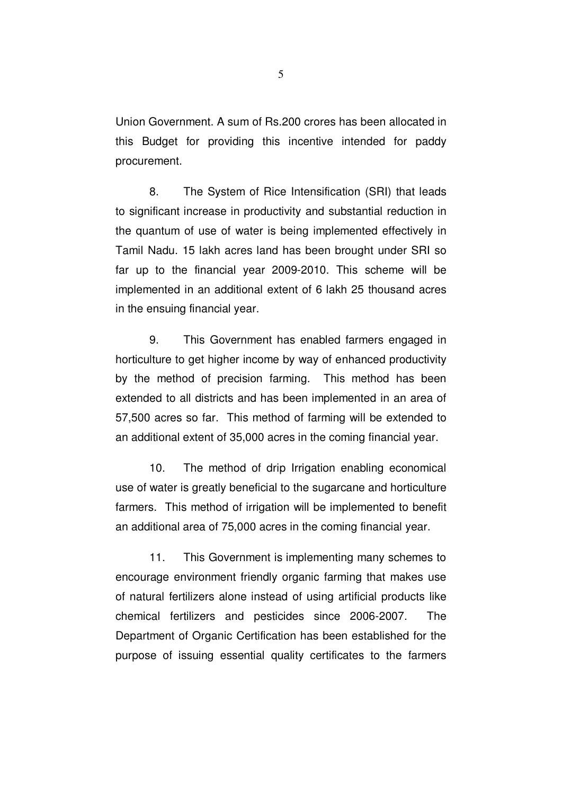Union Government. A sum of Rs.200 crores has been allocated in this Budget for providing this incentive intended for paddy procurement.

8. The System of Rice Intensification (SRI) that leads to significant increase in productivity and substantial reduction in the quantum of use of water is being implemented effectively in Tamil Nadu. 15 lakh acres land has been brought under SRI so far up to the financial year 2009-2010. This scheme will be implemented in an additional extent of 6 lakh 25 thousand acres in the ensuing financial year.

9. This Government has enabled farmers engaged in horticulture to get higher income by way of enhanced productivity by the method of precision farming. This method has been extended to all districts and has been implemented in an area of 57,500 acres so far. This method of farming will be extended to an additional extent of 35,000 acres in the coming financial year.

10. The method of drip Irrigation enabling economical use of water is greatly beneficial to the sugarcane and horticulture farmers. This method of irrigation will be implemented to benefit an additional area of 75,000 acres in the coming financial year.

11. This Government is implementing many schemes to encourage environment friendly organic farming that makes use of natural fertilizers alone instead of using artificial products like chemical fertilizers and pesticides since 2006-2007. The Department of Organic Certification has been established for the purpose of issuing essential quality certificates to the farmers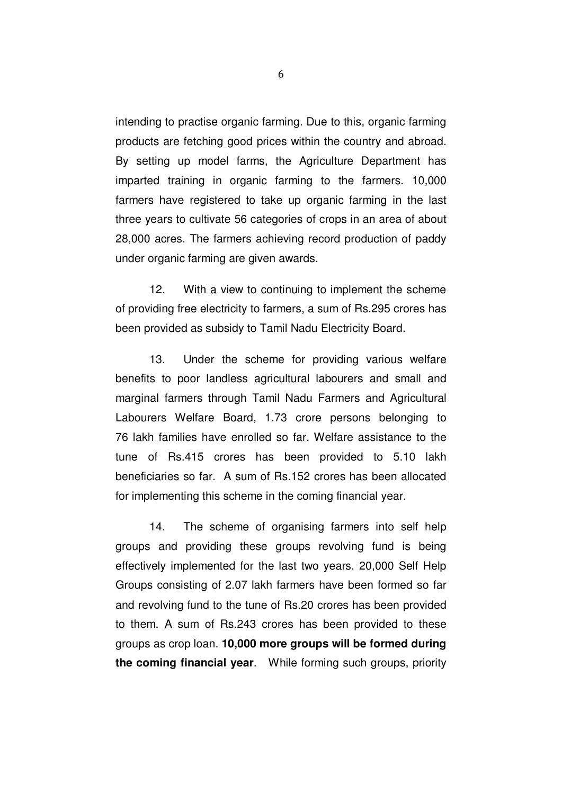intending to practise organic farming. Due to this, organic farming products are fetching good prices within the country and abroad. By setting up model farms, the Agriculture Department has imparted training in organic farming to the farmers. 10,000 farmers have registered to take up organic farming in the last three years to cultivate 56 categories of crops in an area of about 28,000 acres. The farmers achieving record production of paddy under organic farming are given awards.

12. With a view to continuing to implement the scheme of providing free electricity to farmers, a sum of Rs.295 crores has been provided as subsidy to Tamil Nadu Electricity Board.

13. Under the scheme for providing various welfare benefits to poor landless agricultural labourers and small and marginal farmers through Tamil Nadu Farmers and Agricultural Labourers Welfare Board, 1.73 crore persons belonging to 76 lakh families have enrolled so far. Welfare assistance to the tune of Rs.415 crores has been provided to 5.10 lakh beneficiaries so far. A sum of Rs.152 crores has been allocated for implementing this scheme in the coming financial year.

14. The scheme of organising farmers into self help groups and providing these groups revolving fund is being effectively implemented for the last two years. 20,000 Self Help Groups consisting of 2.07 lakh farmers have been formed so far and revolving fund to the tune of Rs.20 crores has been provided to them. A sum of Rs.243 crores has been provided to these groups as crop loan. **10,000 more groups will be formed during the coming financial year**. While forming such groups, priority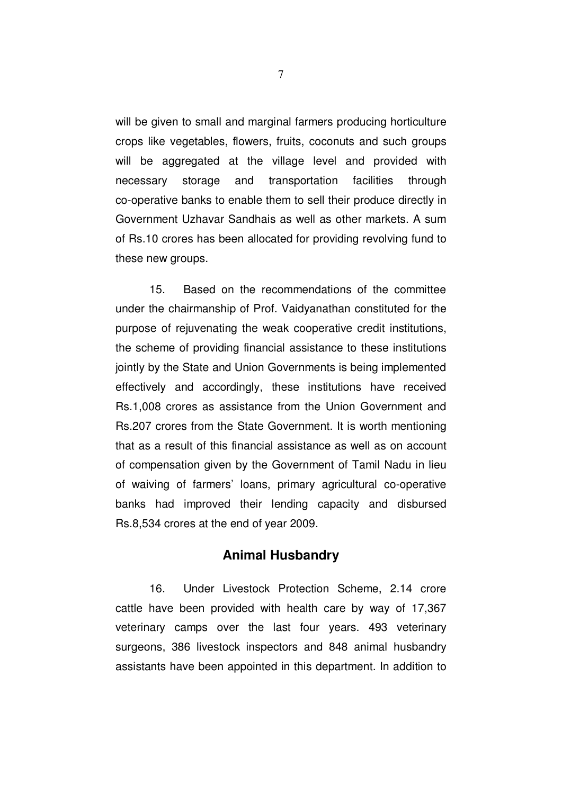will be given to small and marginal farmers producing horticulture crops like vegetables, flowers, fruits, coconuts and such groups will be aggregated at the village level and provided with necessary storage and transportation facilities through co-operative banks to enable them to sell their produce directly in Government Uzhavar Sandhais as well as other markets. A sum of Rs.10 crores has been allocated for providing revolving fund to these new groups.

15. Based on the recommendations of the committee under the chairmanship of Prof. Vaidyanathan constituted for the purpose of rejuvenating the weak cooperative credit institutions, the scheme of providing financial assistance to these institutions jointly by the State and Union Governments is being implemented effectively and accordingly, these institutions have received Rs.1,008 crores as assistance from the Union Government and Rs.207 crores from the State Government. It is worth mentioning that as a result of this financial assistance as well as on account of compensation given by the Government of Tamil Nadu in lieu of waiving of farmers' loans, primary agricultural co-operative banks had improved their lending capacity and disbursed Rs.8,534 crores at the end of year 2009.

### **Animal Husbandry**

16. Under Livestock Protection Scheme, 2.14 crore cattle have been provided with health care by way of 17,367 veterinary camps over the last four years. 493 veterinary surgeons, 386 livestock inspectors and 848 animal husbandry assistants have been appointed in this department. In addition to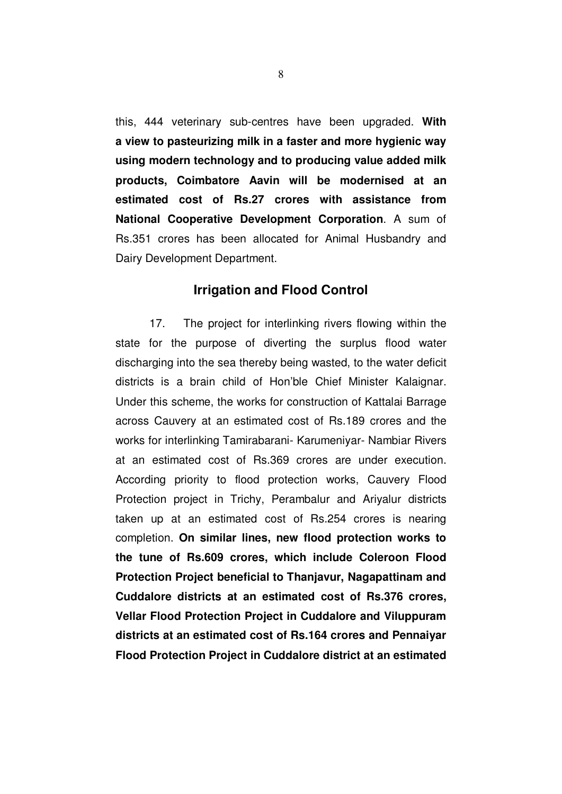this, 444 veterinary sub-centres have been upgraded. **With a view to pasteurizing milk in a faster and more hygienic way using modern technology and to producing value added milk products, Coimbatore Aavin will be modernised at an estimated cost of Rs.27 crores with assistance from National Cooperative Development Corporation**. A sum of Rs.351 crores has been allocated for Animal Husbandry and Dairy Development Department.

#### **Irrigation and Flood Control**

17. The project for interlinking rivers flowing within the state for the purpose of diverting the surplus flood water discharging into the sea thereby being wasted, to the water deficit districts is a brain child of Hon'ble Chief Minister Kalaignar. Under this scheme, the works for construction of Kattalai Barrage across Cauvery at an estimated cost of Rs.189 crores and the works for interlinking Tamirabarani- Karumeniyar- Nambiar Rivers at an estimated cost of Rs.369 crores are under execution. According priority to flood protection works, Cauvery Flood Protection project in Trichy, Perambalur and Ariyalur districts taken up at an estimated cost of Rs.254 crores is nearing completion. **On similar lines, new flood protection works to the tune of Rs.609 crores, which include Coleroon Flood Protection Project beneficial to Thanjavur, Nagapattinam and Cuddalore districts at an estimated cost of Rs.376 crores, Vellar Flood Protection Project in Cuddalore and Viluppuram districts at an estimated cost of Rs.164 crores and Pennaiyar Flood Protection Project in Cuddalore district at an estimated**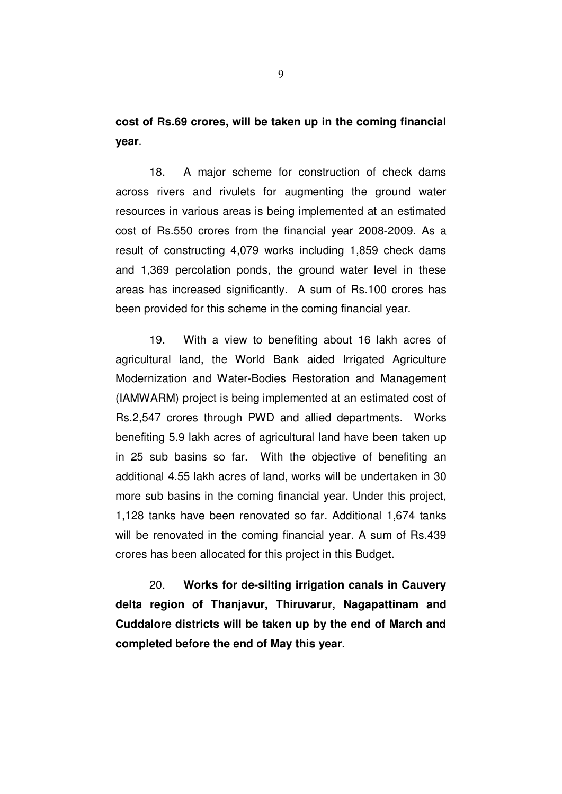**cost of Rs.69 crores, will be taken up in the coming financial year**.

18. A major scheme for construction of check dams across rivers and rivulets for augmenting the ground water resources in various areas is being implemented at an estimated cost of Rs.550 crores from the financial year 2008-2009. As a result of constructing 4,079 works including 1,859 check dams and 1,369 percolation ponds, the ground water level in these areas has increased significantly. A sum of Rs.100 crores has been provided for this scheme in the coming financial year.

19. With a view to benefiting about 16 lakh acres of agricultural land, the World Bank aided Irrigated Agriculture Modernization and Water-Bodies Restoration and Management (IAMWARM) project is being implemented at an estimated cost of Rs.2,547 crores through PWD and allied departments. Works benefiting 5.9 lakh acres of agricultural land have been taken up in 25 sub basins so far. With the objective of benefiting an additional 4.55 lakh acres of land, works will be undertaken in 30 more sub basins in the coming financial year. Under this project, 1,128 tanks have been renovated so far. Additional 1,674 tanks will be renovated in the coming financial year. A sum of Rs.439 crores has been allocated for this project in this Budget.

20. **Works for de-silting irrigation canals in Cauvery delta region of Thanjavur, Thiruvarur, Nagapattinam and Cuddalore districts will be taken up by the end of March and completed before the end of May this year**.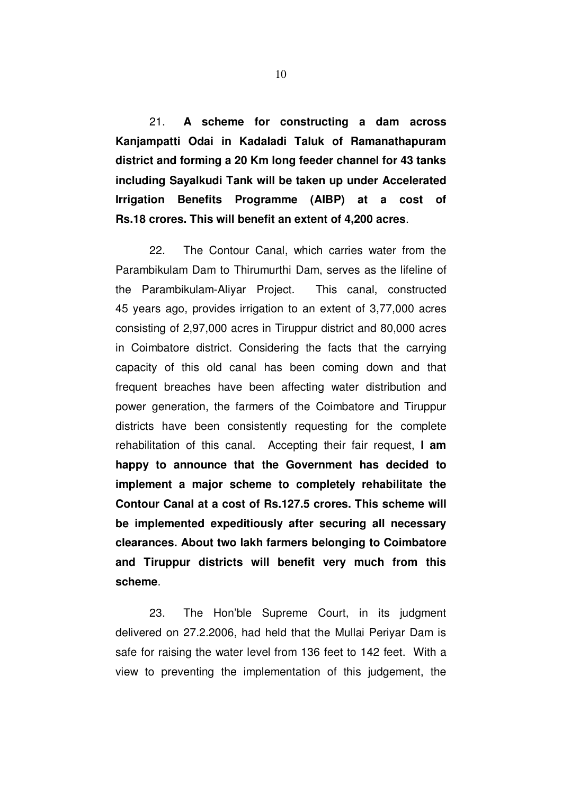21. **A scheme for constructing a dam across Kanjampatti Odai in Kadaladi Taluk of Ramanathapuram district and forming a 20 Km long feeder channel for 43 tanks including Sayalkudi Tank will be taken up under Accelerated Irrigation Benefits Programme (AIBP) at a cost of Rs.18 crores. This will benefit an extent of 4,200 acres**.

22. The Contour Canal, which carries water from the Parambikulam Dam to Thirumurthi Dam, serves as the lifeline of the Parambikulam-Aliyar Project. This canal, constructed 45 years ago, provides irrigation to an extent of 3,77,000 acres consisting of 2,97,000 acres in Tiruppur district and 80,000 acres in Coimbatore district. Considering the facts that the carrying capacity of this old canal has been coming down and that frequent breaches have been affecting water distribution and power generation, the farmers of the Coimbatore and Tiruppur districts have been consistently requesting for the complete rehabilitation of this canal. Accepting their fair request, **I am happy to announce that the Government has decided to implement a major scheme to completely rehabilitate the Contour Canal at a cost of Rs.127.5 crores. This scheme will be implemented expeditiously after securing all necessary clearances. About two lakh farmers belonging to Coimbatore and Tiruppur districts will benefit very much from this scheme**.

23. The Hon'ble Supreme Court, in its judgment delivered on 27.2.2006, had held that the Mullai Periyar Dam is safe for raising the water level from 136 feet to 142 feet. With a view to preventing the implementation of this judgement, the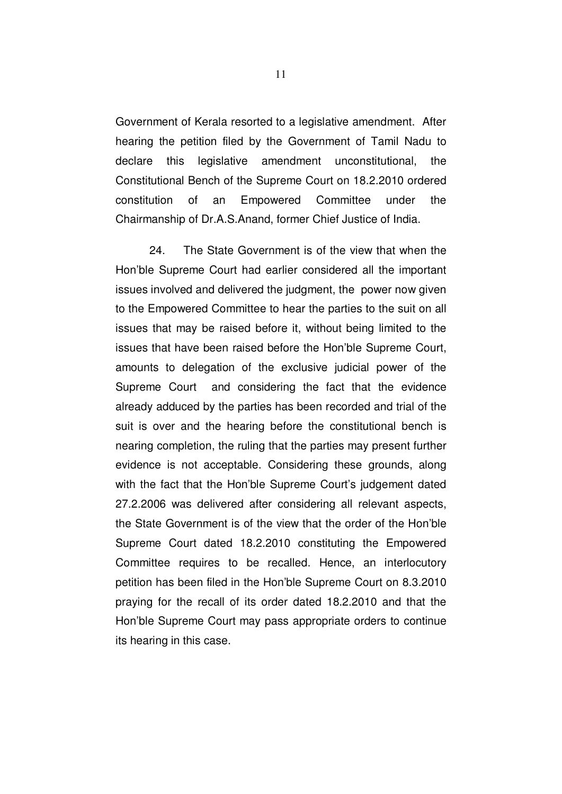Government of Kerala resorted to a legislative amendment. After hearing the petition filed by the Government of Tamil Nadu to declare this legislative amendment unconstitutional, the Constitutional Bench of the Supreme Court on 18.2.2010 ordered constitution of an Empowered Committee under the Chairmanship of Dr.A.S.Anand, former Chief Justice of India.

24. The State Government is of the view that when the Hon'ble Supreme Court had earlier considered all the important issues involved and delivered the judgment, the power now given to the Empowered Committee to hear the parties to the suit on all issues that may be raised before it, without being limited to the issues that have been raised before the Hon'ble Supreme Court, amounts to delegation of the exclusive judicial power of the Supreme Court and considering the fact that the evidence already adduced by the parties has been recorded and trial of the suit is over and the hearing before the constitutional bench is nearing completion, the ruling that the parties may present further evidence is not acceptable. Considering these grounds, along with the fact that the Hon'ble Supreme Court's judgement dated 27.2.2006 was delivered after considering all relevant aspects, the State Government is of the view that the order of the Hon'ble Supreme Court dated 18.2.2010 constituting the Empowered Committee requires to be recalled. Hence, an interlocutory petition has been filed in the Hon'ble Supreme Court on 8.3.2010 praying for the recall of its order dated 18.2.2010 and that the Hon'ble Supreme Court may pass appropriate orders to continue its hearing in this case.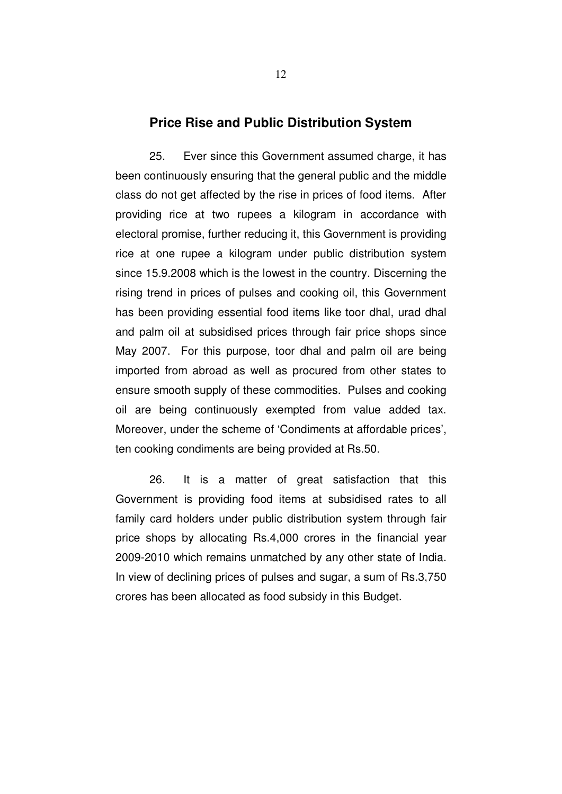#### **Price Rise and Public Distribution System**

25. Ever since this Government assumed charge, it has been continuously ensuring that the general public and the middle class do not get affected by the rise in prices of food items. After providing rice at two rupees a kilogram in accordance with electoral promise, further reducing it, this Government is providing rice at one rupee a kilogram under public distribution system since 15.9.2008 which is the lowest in the country. Discerning the rising trend in prices of pulses and cooking oil, this Government has been providing essential food items like toor dhal, urad dhal and palm oil at subsidised prices through fair price shops since May 2007. For this purpose, toor dhal and palm oil are being imported from abroad as well as procured from other states to ensure smooth supply of these commodities. Pulses and cooking oil are being continuously exempted from value added tax. Moreover, under the scheme of 'Condiments at affordable prices', ten cooking condiments are being provided at Rs.50.

26. It is a matter of great satisfaction that this Government is providing food items at subsidised rates to all family card holders under public distribution system through fair price shops by allocating Rs.4,000 crores in the financial year 2009-2010 which remains unmatched by any other state of India. In view of declining prices of pulses and sugar, a sum of Rs.3,750 crores has been allocated as food subsidy in this Budget.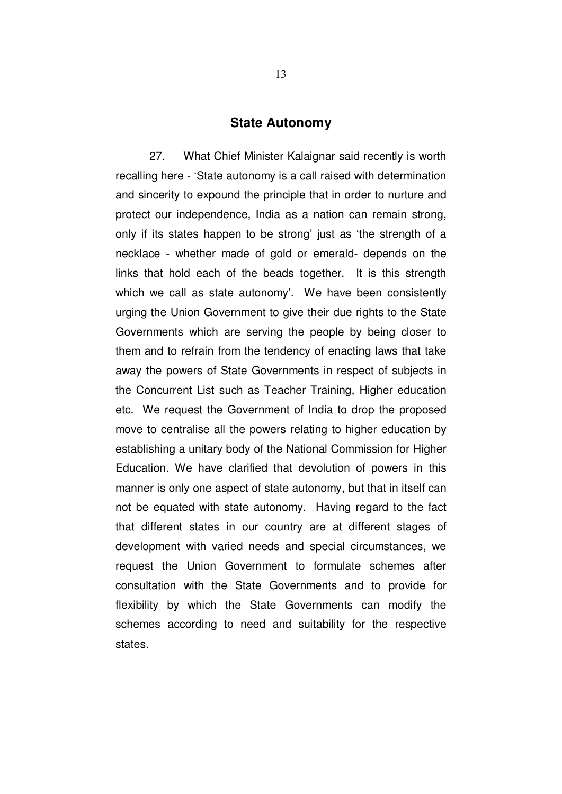#### **State Autonomy**

27. What Chief Minister Kalaignar said recently is worth recalling here - 'State autonomy is a call raised with determination and sincerity to expound the principle that in order to nurture and protect our independence, India as a nation can remain strong, only if its states happen to be strong' just as 'the strength of a necklace - whether made of gold or emerald- depends on the links that hold each of the beads together. It is this strength which we call as state autonomy'. We have been consistently urging the Union Government to give their due rights to the State Governments which are serving the people by being closer to them and to refrain from the tendency of enacting laws that take away the powers of State Governments in respect of subjects in the Concurrent List such as Teacher Training, Higher education etc. We request the Government of India to drop the proposed move to centralise all the powers relating to higher education by establishing a unitary body of the National Commission for Higher Education. We have clarified that devolution of powers in this manner is only one aspect of state autonomy, but that in itself can not be equated with state autonomy. Having regard to the fact that different states in our country are at different stages of development with varied needs and special circumstances, we request the Union Government to formulate schemes after consultation with the State Governments and to provide for flexibility by which the State Governments can modify the schemes according to need and suitability for the respective states.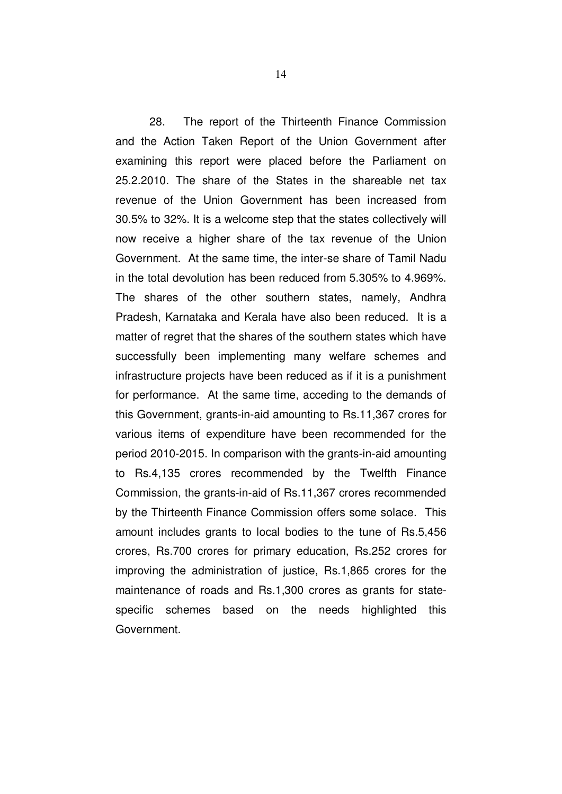28. The report of the Thirteenth Finance Commission and the Action Taken Report of the Union Government after examining this report were placed before the Parliament on 25.2.2010. The share of the States in the shareable net tax revenue of the Union Government has been increased from 30.5% to 32%. It is a welcome step that the states collectively will now receive a higher share of the tax revenue of the Union Government. At the same time, the inter-se share of Tamil Nadu in the total devolution has been reduced from 5.305% to 4.969%. The shares of the other southern states, namely, Andhra Pradesh, Karnataka and Kerala have also been reduced. It is a matter of regret that the shares of the southern states which have successfully been implementing many welfare schemes and infrastructure projects have been reduced as if it is a punishment for performance. At the same time, acceding to the demands of this Government, grants-in-aid amounting to Rs.11,367 crores for various items of expenditure have been recommended for the period 2010-2015. In comparison with the grants-in-aid amounting to Rs.4,135 crores recommended by the Twelfth Finance Commission, the grants-in-aid of Rs.11,367 crores recommended by the Thirteenth Finance Commission offers some solace. This amount includes grants to local bodies to the tune of Rs.5,456 crores, Rs.700 crores for primary education, Rs.252 crores for improving the administration of justice, Rs.1,865 crores for the maintenance of roads and Rs.1,300 crores as grants for statespecific schemes based on the needs highlighted this Government.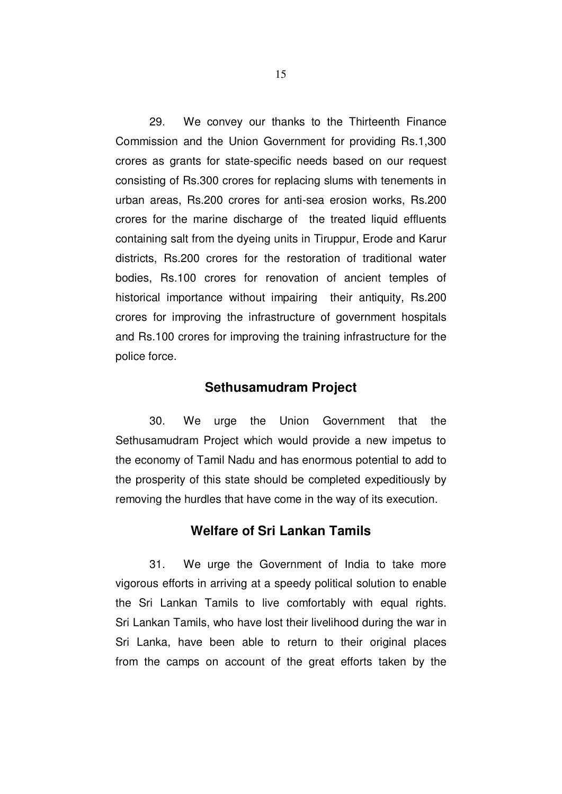29. We convey our thanks to the Thirteenth Finance Commission and the Union Government for providing Rs.1,300 crores as grants for state-specific needs based on our request consisting of Rs.300 crores for replacing slums with tenements in urban areas, Rs.200 crores for anti-sea erosion works, Rs.200 crores for the marine discharge of the treated liquid effluents containing salt from the dyeing units in Tiruppur, Erode and Karur districts, Rs.200 crores for the restoration of traditional water bodies, Rs.100 crores for renovation of ancient temples of historical importance without impairing their antiquity, Rs.200 crores for improving the infrastructure of government hospitals and Rs.100 crores for improving the training infrastructure for the police force.

#### **Sethusamudram Project**

30. We urge the Union Government that the Sethusamudram Project which would provide a new impetus to the economy of Tamil Nadu and has enormous potential to add to the prosperity of this state should be completed expeditiously by removing the hurdles that have come in the way of its execution.

#### **Welfare of Sri Lankan Tamils**

31. We urge the Government of India to take more vigorous efforts in arriving at a speedy political solution to enable the Sri Lankan Tamils to live comfortably with equal rights. Sri Lankan Tamils, who have lost their livelihood during the war in Sri Lanka, have been able to return to their original places from the camps on account of the great efforts taken by the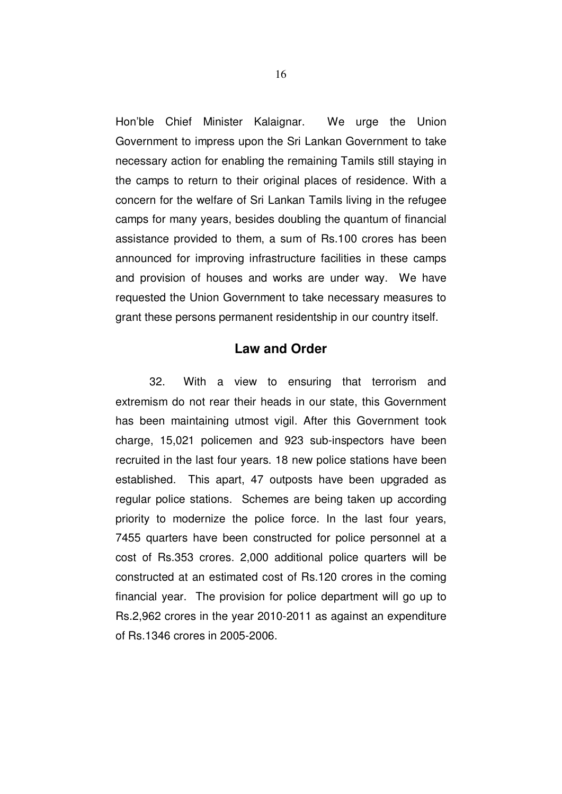Hon'ble Chief Minister Kalaignar. We urge the Union Government to impress upon the Sri Lankan Government to take necessary action for enabling the remaining Tamils still staying in the camps to return to their original places of residence. With a concern for the welfare of Sri Lankan Tamils living in the refugee camps for many years, besides doubling the quantum of financial assistance provided to them, a sum of Rs.100 crores has been announced for improving infrastructure facilities in these camps and provision of houses and works are under way. We have requested the Union Government to take necessary measures to grant these persons permanent residentship in our country itself.

# **Law and Order**

32. With a view to ensuring that terrorism and extremism do not rear their heads in our state, this Government has been maintaining utmost vigil. After this Government took charge, 15,021 policemen and 923 sub-inspectors have been recruited in the last four years. 18 new police stations have been established. This apart, 47 outposts have been upgraded as regular police stations. Schemes are being taken up according priority to modernize the police force. In the last four years, 7455 quarters have been constructed for police personnel at a cost of Rs.353 crores. 2,000 additional police quarters will be constructed at an estimated cost of Rs.120 crores in the coming financial year. The provision for police department will go up to Rs.2,962 crores in the year 2010-2011 as against an expenditure of Rs.1346 crores in 2005-2006.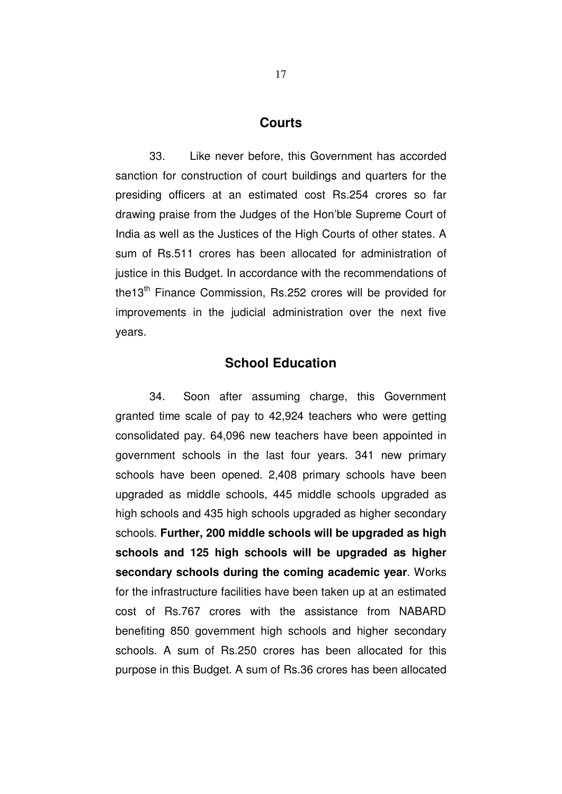#### **Courts**

33. Like never before, this Government has accorded sanction for construction of court buildings and quarters for the presiding officers at an estimated cost Rs.254 crores so far drawing praise from the Judges of the Hon'ble Supreme Court of India as well as the Justices of the High Courts of other states. A sum of Rs.511 crores has been allocated for administration of justice in this Budget. In accordance with the recommendations of the13<sup>th</sup> Finance Commission, Rs.252 crores will be provided for improvements in the judicial administration over the next five years.

### **School Education**

34. Soon after assuming charge, this Government granted time scale of pay to 42,924 teachers who were getting consolidated pay. 64,096 new teachers have been appointed in government schools in the last four years. 341 new primary schools have been opened. 2,408 primary schools have been upgraded as middle schools, 445 middle schools upgraded as high schools and 435 high schools upgraded as higher secondary schools. **Further, 200 middle schools will be upgraded as high schools and 125 high schools will be upgraded as higher secondary schools during the coming academic year**. Works for the infrastructure facilities have been taken up at an estimated cost of Rs.767 crores with the assistance from NABARD benefiting 850 government high schools and higher secondary schools. A sum of Rs.250 crores has been allocated for this purpose in this Budget. A sum of Rs.36 crores has been allocated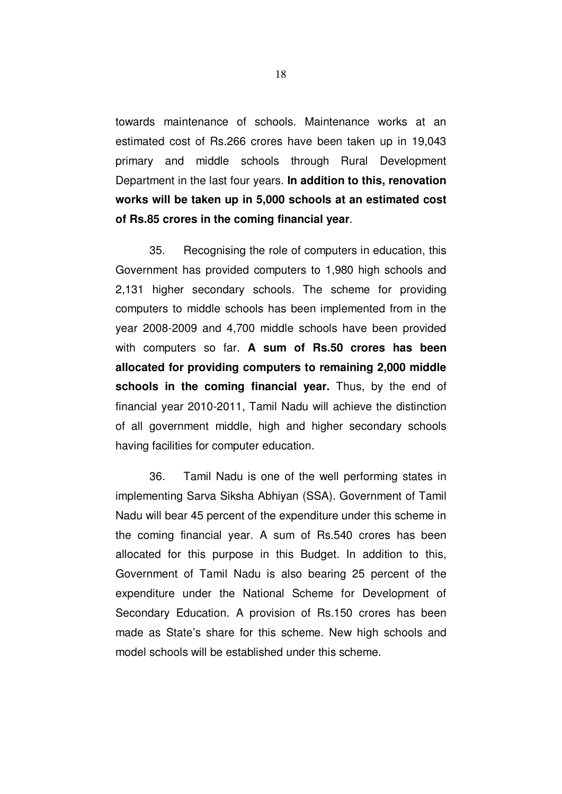towards maintenance of schools. Maintenance works at an estimated cost of Rs.266 crores have been taken up in 19,043 primary and middle schools through Rural Development Department in the last four years. **In addition to this, renovation works will be taken up in 5,000 schools at an estimated cost of Rs.85 crores in the coming financial year**.

35. Recognising the role of computers in education, this Government has provided computers to 1,980 high schools and 2,131 higher secondary schools. The scheme for providing computers to middle schools has been implemented from in the year 2008-2009 and 4,700 middle schools have been provided with computers so far. **A sum of Rs.50 crores has been allocated for providing computers to remaining 2,000 middle schools in the coming financial year.** Thus, by the end of financial year 2010-2011, Tamil Nadu will achieve the distinction of all government middle, high and higher secondary schools having facilities for computer education.

36. Tamil Nadu is one of the well performing states in implementing Sarva Siksha Abhiyan (SSA). Government of Tamil Nadu will bear 45 percent of the expenditure under this scheme in the coming financial year. A sum of Rs.540 crores has been allocated for this purpose in this Budget. In addition to this, Government of Tamil Nadu is also bearing 25 percent of the expenditure under the National Scheme for Development of Secondary Education. A provision of Rs.150 crores has been made as State's share for this scheme. New high schools and model schools will be established under this scheme.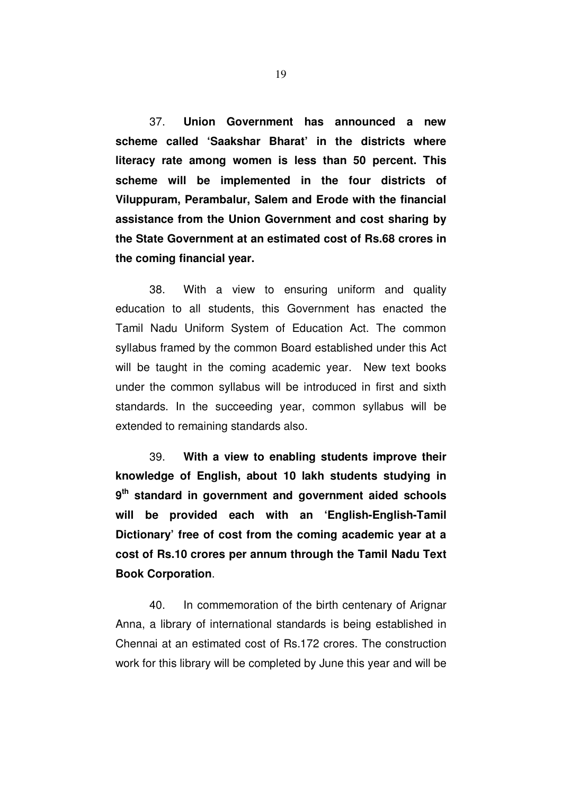37. **Union Government has announced a new scheme called 'Saakshar Bharat' in the districts where literacy rate among women is less than 50 percent. This scheme will be implemented in the four districts of Viluppuram, Perambalur, Salem and Erode with the financial assistance from the Union Government and cost sharing by the State Government at an estimated cost of Rs.68 crores in the coming financial year.** 

38. With a view to ensuring uniform and quality education to all students, this Government has enacted the Tamil Nadu Uniform System of Education Act. The common syllabus framed by the common Board established under this Act will be taught in the coming academic year. New text books under the common syllabus will be introduced in first and sixth standards. In the succeeding year, common syllabus will be extended to remaining standards also.

39. **With a view to enabling students improve their knowledge of English, about 10 lakh students studying in 9 th standard in government and government aided schools will be provided each with an 'English-English-Tamil Dictionary' free of cost from the coming academic year at a cost of Rs.10 crores per annum through the Tamil Nadu Text Book Corporation**.

40. In commemoration of the birth centenary of Arignar Anna, a library of international standards is being established in Chennai at an estimated cost of Rs.172 crores. The construction work for this library will be completed by June this year and will be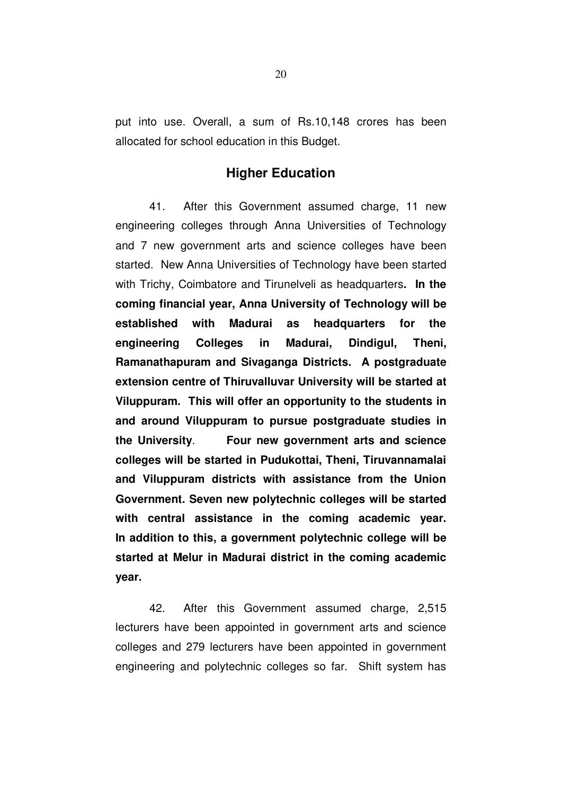put into use. Overall, a sum of Rs.10,148 crores has been allocated for school education in this Budget.

### **Higher Education**

41. After this Government assumed charge, 11 new engineering colleges through Anna Universities of Technology and 7 new government arts and science colleges have been started. New Anna Universities of Technology have been started with Trichy, Coimbatore and Tirunelveli as headquarters**. In the coming financial year, Anna University of Technology will be established with Madurai as headquarters for the engineering Colleges in Madurai, Dindigul, Theni, Ramanathapuram and Sivaganga Districts. A postgraduate extension centre of Thiruvalluvar University will be started at Viluppuram. This will offer an opportunity to the students in and around Viluppuram to pursue postgraduate studies in the University**. **Four new government arts and science colleges will be started in Pudukottai, Theni, Tiruvannamalai and Viluppuram districts with assistance from the Union Government. Seven new polytechnic colleges will be started with central assistance in the coming academic year. In addition to this, a government polytechnic college will be started at Melur in Madurai district in the coming academic year.** 

42. After this Government assumed charge, 2,515 lecturers have been appointed in government arts and science colleges and 279 lecturers have been appointed in government engineering and polytechnic colleges so far. Shift system has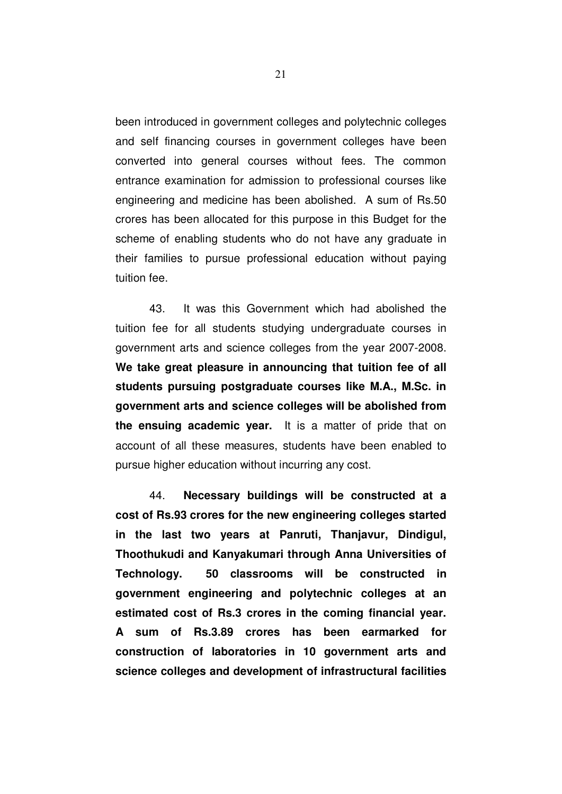been introduced in government colleges and polytechnic colleges and self financing courses in government colleges have been converted into general courses without fees. The common entrance examination for admission to professional courses like engineering and medicine has been abolished. A sum of Rs.50 crores has been allocated for this purpose in this Budget for the scheme of enabling students who do not have any graduate in their families to pursue professional education without paying tuition fee.

43. It was this Government which had abolished the tuition fee for all students studying undergraduate courses in government arts and science colleges from the year 2007-2008. **We take great pleasure in announcing that tuition fee of all students pursuing postgraduate courses like M.A., M.Sc. in government arts and science colleges will be abolished from the ensuing academic year.** It is a matter of pride that on account of all these measures, students have been enabled to pursue higher education without incurring any cost.

44. **Necessary buildings will be constructed at a cost of Rs.93 crores for the new engineering colleges started in the last two years at Panruti, Thanjavur, Dindigul, Thoothukudi and Kanyakumari through Anna Universities of Technology. 50 classrooms will be constructed in government engineering and polytechnic colleges at an estimated cost of Rs.3 crores in the coming financial year. A sum of Rs.3.89 crores has been earmarked for construction of laboratories in 10 government arts and science colleges and development of infrastructural facilities**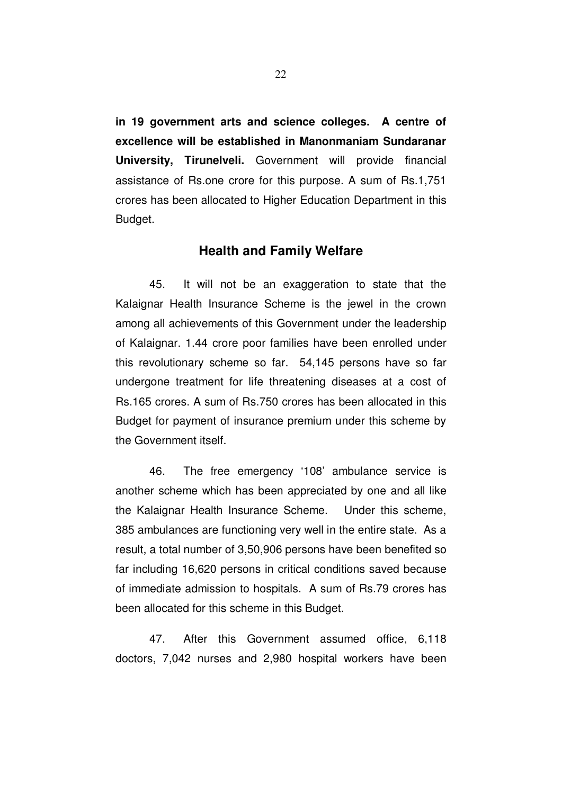**in 19 government arts and science colleges. A centre of excellence will be established in Manonmaniam Sundaranar University, Tirunelveli.** Government will provide financial assistance of Rs.one crore for this purpose. A sum of Rs.1,751 crores has been allocated to Higher Education Department in this Budget.

### **Health and Family Welfare**

45. It will not be an exaggeration to state that the Kalaignar Health Insurance Scheme is the jewel in the crown among all achievements of this Government under the leadership of Kalaignar. 1.44 crore poor families have been enrolled under this revolutionary scheme so far. 54,145 persons have so far undergone treatment for life threatening diseases at a cost of Rs.165 crores. A sum of Rs.750 crores has been allocated in this Budget for payment of insurance premium under this scheme by the Government itself.

46. The free emergency '108' ambulance service is another scheme which has been appreciated by one and all like the Kalaignar Health Insurance Scheme. Under this scheme, 385 ambulances are functioning very well in the entire state. As a result, a total number of 3,50,906 persons have been benefited so far including 16,620 persons in critical conditions saved because of immediate admission to hospitals. A sum of Rs.79 crores has been allocated for this scheme in this Budget.

47. After this Government assumed office, 6,118 doctors, 7,042 nurses and 2,980 hospital workers have been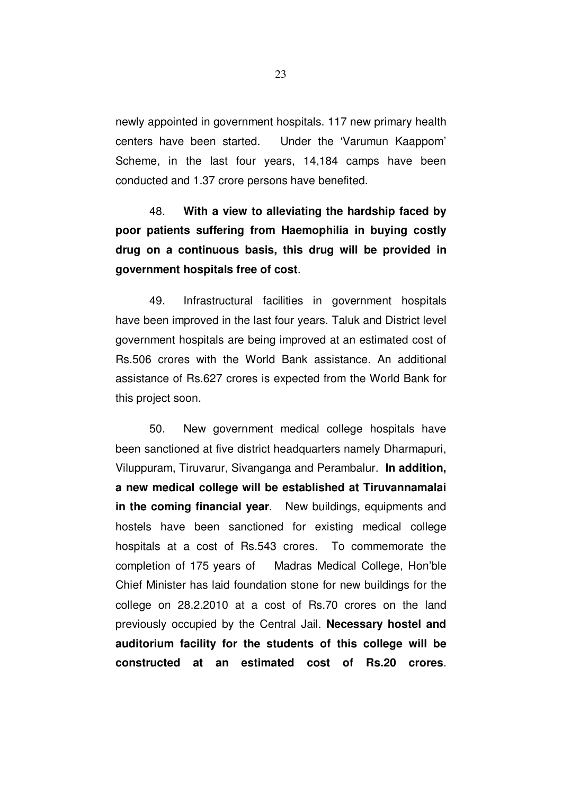newly appointed in government hospitals. 117 new primary health centers have been started. Under the 'Varumun Kaappom' Scheme, in the last four years, 14,184 camps have been conducted and 1.37 crore persons have benefited.

48. **With a view to alleviating the hardship faced by poor patients suffering from Haemophilia in buying costly drug on a continuous basis, this drug will be provided in government hospitals free of cost**.

49. Infrastructural facilities in government hospitals have been improved in the last four years. Taluk and District level government hospitals are being improved at an estimated cost of Rs.506 crores with the World Bank assistance. An additional assistance of Rs.627 crores is expected from the World Bank for this project soon.

50. New government medical college hospitals have been sanctioned at five district headquarters namely Dharmapuri, Viluppuram, Tiruvarur, Sivanganga and Perambalur. **In addition, a new medical college will be established at Tiruvannamalai in the coming financial year**. New buildings, equipments and hostels have been sanctioned for existing medical college hospitals at a cost of Rs.543 crores. To commemorate the completion of 175 years of Madras Medical College, Hon'ble Chief Minister has laid foundation stone for new buildings for the college on 28.2.2010 at a cost of Rs.70 crores on the land previously occupied by the Central Jail. **Necessary hostel and auditorium facility for the students of this college will be constructed at an estimated cost of Rs.20 crores**.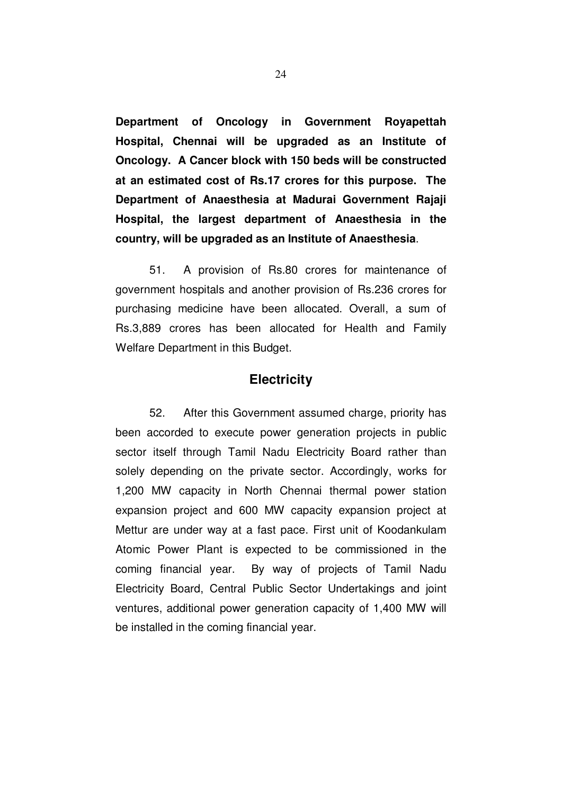**Department of Oncology in Government Royapettah Hospital, Chennai will be upgraded as an Institute of Oncology. A Cancer block with 150 beds will be constructed at an estimated cost of Rs.17 crores for this purpose. The Department of Anaesthesia at Madurai Government Rajaji Hospital, the largest department of Anaesthesia in the country, will be upgraded as an Institute of Anaesthesia**.

51. A provision of Rs.80 crores for maintenance of government hospitals and another provision of Rs.236 crores for purchasing medicine have been allocated. Overall, a sum of Rs.3,889 crores has been allocated for Health and Family Welfare Department in this Budget.

### **Electricity**

52. After this Government assumed charge, priority has been accorded to execute power generation projects in public sector itself through Tamil Nadu Electricity Board rather than solely depending on the private sector. Accordingly, works for 1,200 MW capacity in North Chennai thermal power station expansion project and 600 MW capacity expansion project at Mettur are under way at a fast pace. First unit of Koodankulam Atomic Power Plant is expected to be commissioned in the coming financial year. By way of projects of Tamil Nadu Electricity Board, Central Public Sector Undertakings and joint ventures, additional power generation capacity of 1,400 MW will be installed in the coming financial year.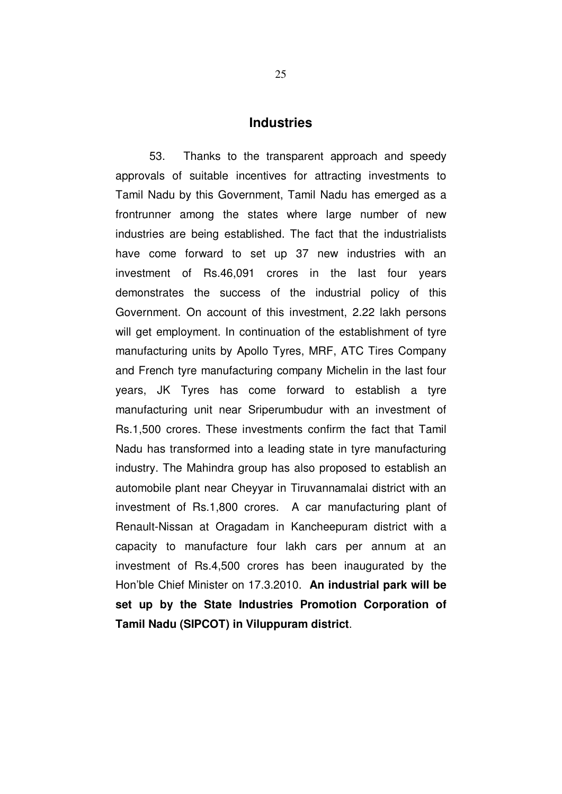#### **Industries**

53. Thanks to the transparent approach and speedy approvals of suitable incentives for attracting investments to Tamil Nadu by this Government, Tamil Nadu has emerged as a frontrunner among the states where large number of new industries are being established. The fact that the industrialists have come forward to set up 37 new industries with an investment of Rs.46,091 crores in the last four years demonstrates the success of the industrial policy of this Government. On account of this investment, 2.22 lakh persons will get employment. In continuation of the establishment of tyre manufacturing units by Apollo Tyres, MRF, ATC Tires Company and French tyre manufacturing company Michelin in the last four years, JK Tyres has come forward to establish a tyre manufacturing unit near Sriperumbudur with an investment of Rs.1,500 crores. These investments confirm the fact that Tamil Nadu has transformed into a leading state in tyre manufacturing industry. The Mahindra group has also proposed to establish an automobile plant near Cheyyar in Tiruvannamalai district with an investment of Rs.1,800 crores. A car manufacturing plant of Renault-Nissan at Oragadam in Kancheepuram district with a capacity to manufacture four lakh cars per annum at an investment of Rs.4,500 crores has been inaugurated by the Hon'ble Chief Minister on 17.3.2010. **An industrial park will be set up by the State Industries Promotion Corporation of Tamil Nadu (SIPCOT) in Viluppuram district**.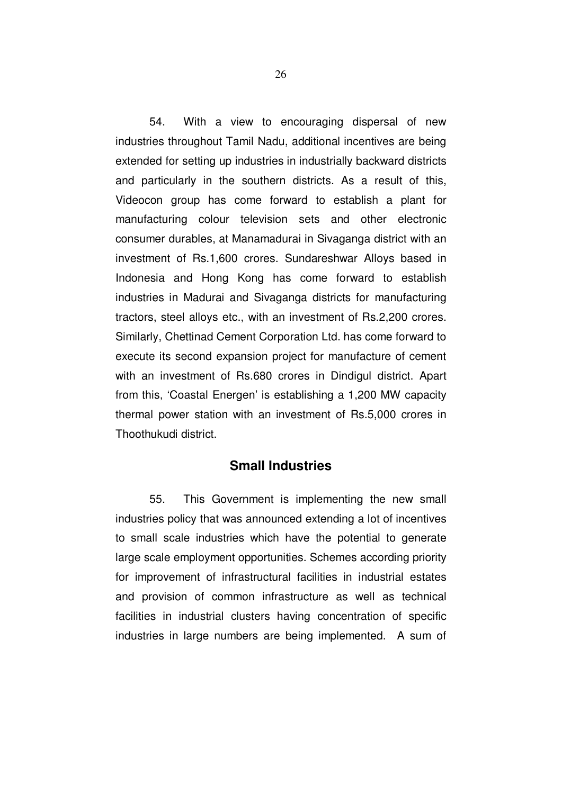54. With a view to encouraging dispersal of new industries throughout Tamil Nadu, additional incentives are being extended for setting up industries in industrially backward districts and particularly in the southern districts. As a result of this, Videocon group has come forward to establish a plant for manufacturing colour television sets and other electronic consumer durables, at Manamadurai in Sivaganga district with an investment of Rs.1,600 crores. Sundareshwar Alloys based in Indonesia and Hong Kong has come forward to establish industries in Madurai and Sivaganga districts for manufacturing tractors, steel alloys etc., with an investment of Rs.2,200 crores. Similarly, Chettinad Cement Corporation Ltd. has come forward to execute its second expansion project for manufacture of cement with an investment of Rs.680 crores in Dindigul district. Apart from this, 'Coastal Energen' is establishing a 1,200 MW capacity thermal power station with an investment of Rs.5,000 crores in Thoothukudi district.

### **Small Industries**

55. This Government is implementing the new small industries policy that was announced extending a lot of incentives to small scale industries which have the potential to generate large scale employment opportunities. Schemes according priority for improvement of infrastructural facilities in industrial estates and provision of common infrastructure as well as technical facilities in industrial clusters having concentration of specific industries in large numbers are being implemented. A sum of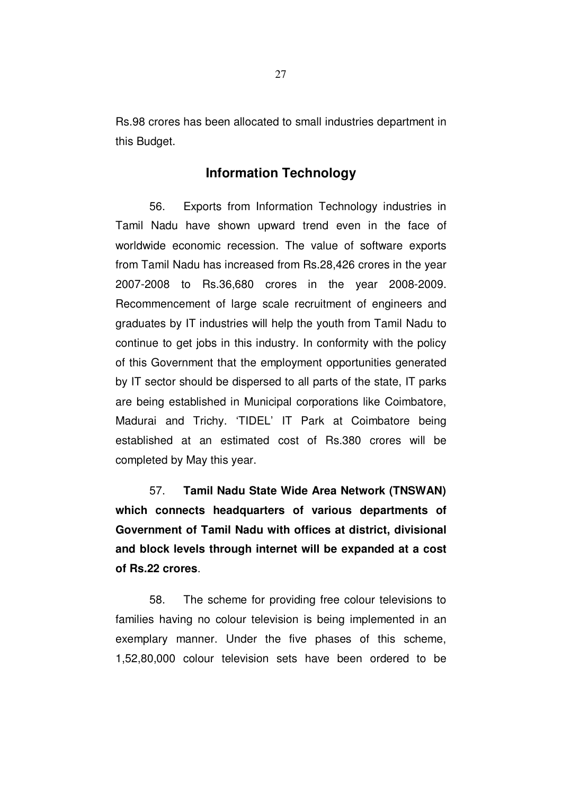Rs.98 crores has been allocated to small industries department in this Budget.

# **Information Technology**

56. Exports from Information Technology industries in Tamil Nadu have shown upward trend even in the face of worldwide economic recession. The value of software exports from Tamil Nadu has increased from Rs.28,426 crores in the year 2007-2008 to Rs.36,680 crores in the year 2008-2009. Recommencement of large scale recruitment of engineers and graduates by IT industries will help the youth from Tamil Nadu to continue to get jobs in this industry. In conformity with the policy of this Government that the employment opportunities generated by IT sector should be dispersed to all parts of the state, IT parks are being established in Municipal corporations like Coimbatore, Madurai and Trichy. 'TIDEL' IT Park at Coimbatore being established at an estimated cost of Rs.380 crores will be completed by May this year.

57. **Tamil Nadu State Wide Area Network (TNSWAN) which connects headquarters of various departments of Government of Tamil Nadu with offices at district, divisional and block levels through internet will be expanded at a cost of Rs.22 crores**.

58. The scheme for providing free colour televisions to families having no colour television is being implemented in an exemplary manner. Under the five phases of this scheme, 1,52,80,000 colour television sets have been ordered to be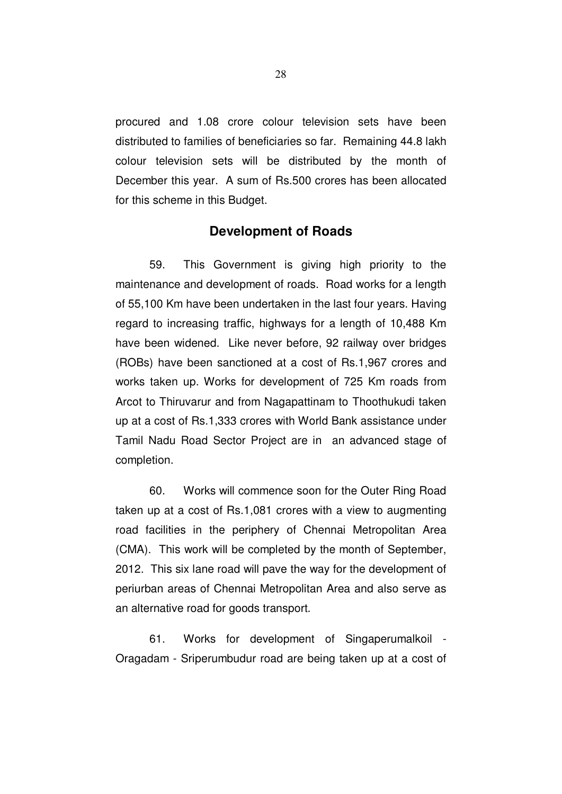procured and 1.08 crore colour television sets have been distributed to families of beneficiaries so far. Remaining 44.8 lakh colour television sets will be distributed by the month of December this year. A sum of Rs.500 crores has been allocated for this scheme in this Budget.

## **Development of Roads**

59. This Government is giving high priority to the maintenance and development of roads. Road works for a length of 55,100 Km have been undertaken in the last four years. Having regard to increasing traffic, highways for a length of 10,488 Km have been widened. Like never before, 92 railway over bridges (ROBs) have been sanctioned at a cost of Rs.1,967 crores and works taken up. Works for development of 725 Km roads from Arcot to Thiruvarur and from Nagapattinam to Thoothukudi taken up at a cost of Rs.1,333 crores with World Bank assistance under Tamil Nadu Road Sector Project are in an advanced stage of completion.

60. Works will commence soon for the Outer Ring Road taken up at a cost of Rs.1,081 crores with a view to augmenting road facilities in the periphery of Chennai Metropolitan Area (CMA). This work will be completed by the month of September, 2012. This six lane road will pave the way for the development of periurban areas of Chennai Metropolitan Area and also serve as an alternative road for goods transport.

61. Works for development of Singaperumalkoil - Oragadam - Sriperumbudur road are being taken up at a cost of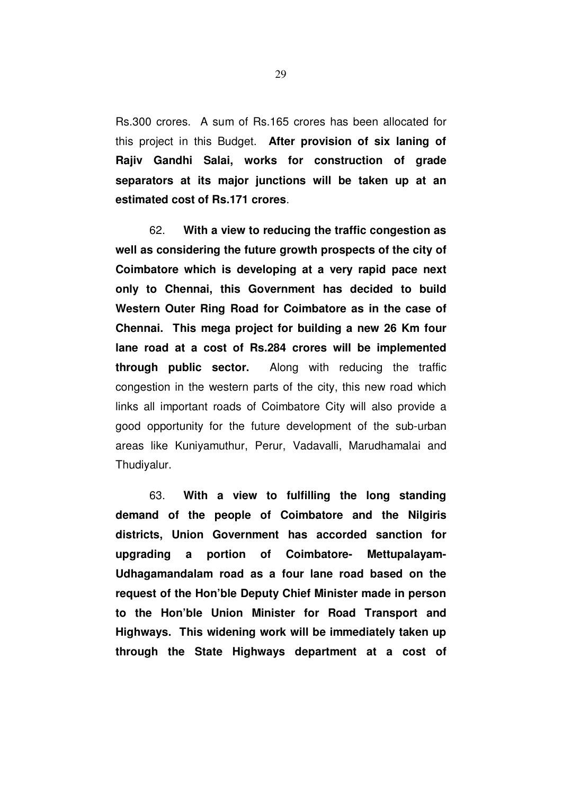Rs.300 crores. A sum of Rs.165 crores has been allocated for this project in this Budget. **After provision of six laning of Rajiv Gandhi Salai, works for construction of grade separators at its major junctions will be taken up at an estimated cost of Rs.171 crores**.

62. **With a view to reducing the traffic congestion as well as considering the future growth prospects of the city of Coimbatore which is developing at a very rapid pace next only to Chennai, this Government has decided to build Western Outer Ring Road for Coimbatore as in the case of Chennai. This mega project for building a new 26 Km four lane road at a cost of Rs.284 crores will be implemented through public sector.** Along with reducing the traffic congestion in the western parts of the city, this new road which links all important roads of Coimbatore City will also provide a good opportunity for the future development of the sub-urban areas like Kuniyamuthur, Perur, Vadavalli, Marudhamalai and Thudiyalur.

63. **With a view to fulfilling the long standing demand of the people of Coimbatore and the Nilgiris districts, Union Government has accorded sanction for upgrading a portion of Coimbatore- Mettupalayam-Udhagamandalam road as a four lane road based on the request of the Hon'ble Deputy Chief Minister made in person to the Hon'ble Union Minister for Road Transport and Highways. This widening work will be immediately taken up through the State Highways department at a cost of**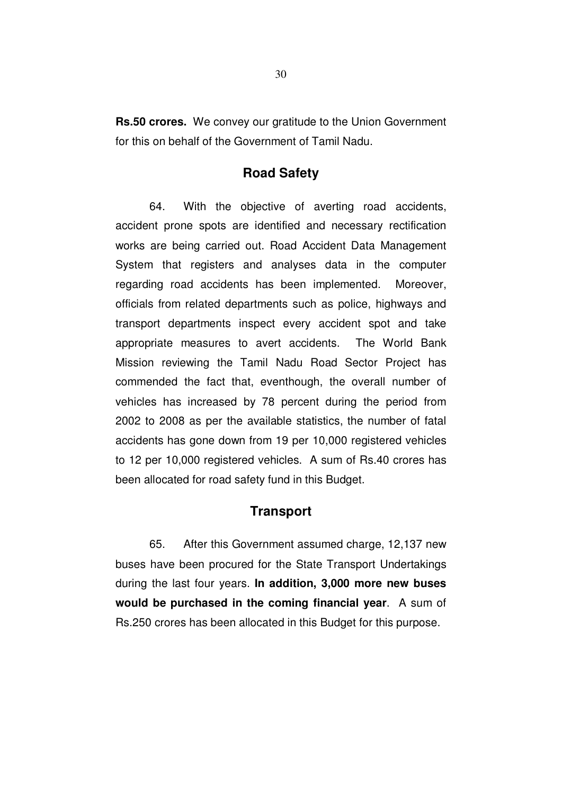**Rs.50 crores.** We convey our gratitude to the Union Government for this on behalf of the Government of Tamil Nadu.

### **Road Safety**

64. With the objective of averting road accidents, accident prone spots are identified and necessary rectification works are being carried out. Road Accident Data Management System that registers and analyses data in the computer regarding road accidents has been implemented. Moreover, officials from related departments such as police, highways and transport departments inspect every accident spot and take appropriate measures to avert accidents. The World Bank Mission reviewing the Tamil Nadu Road Sector Project has commended the fact that, eventhough, the overall number of vehicles has increased by 78 percent during the period from 2002 to 2008 as per the available statistics, the number of fatal accidents has gone down from 19 per 10,000 registered vehicles to 12 per 10,000 registered vehicles. A sum of Rs.40 crores has been allocated for road safety fund in this Budget.

### **Transport**

65. After this Government assumed charge, 12,137 new buses have been procured for the State Transport Undertakings during the last four years. **In addition, 3,000 more new buses would be purchased in the coming financial year**. A sum of Rs.250 crores has been allocated in this Budget for this purpose.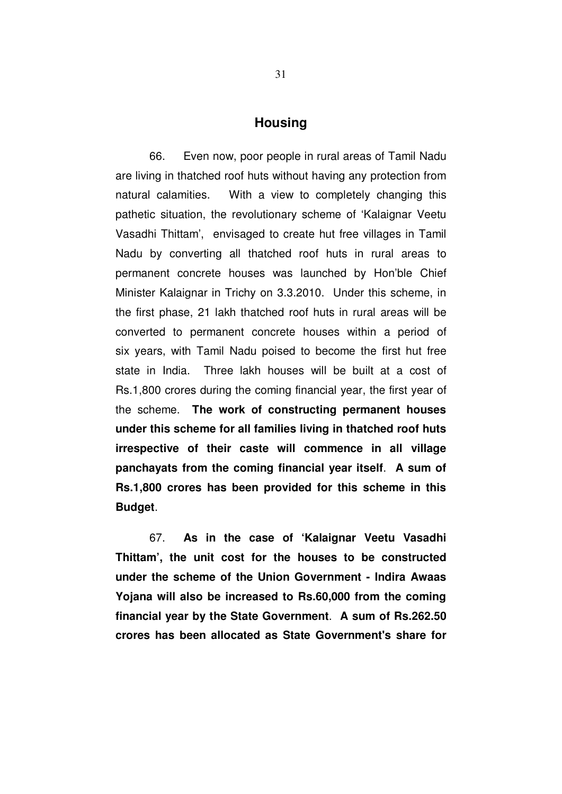#### **Housing**

66. Even now, poor people in rural areas of Tamil Nadu are living in thatched roof huts without having any protection from natural calamities. With a view to completely changing this pathetic situation, the revolutionary scheme of 'Kalaignar Veetu Vasadhi Thittam', envisaged to create hut free villages in Tamil Nadu by converting all thatched roof huts in rural areas to permanent concrete houses was launched by Hon'ble Chief Minister Kalaignar in Trichy on 3.3.2010. Under this scheme, in the first phase, 21 lakh thatched roof huts in rural areas will be converted to permanent concrete houses within a period of six years, with Tamil Nadu poised to become the first hut free state in India. Three lakh houses will be built at a cost of Rs.1,800 crores during the coming financial year, the first year of the scheme. **The work of constructing permanent houses under this scheme for all families living in thatched roof huts irrespective of their caste will commence in all village panchayats from the coming financial year itself**. **A sum of Rs.1,800 crores has been provided for this scheme in this Budget**.

67. **As in the case of 'Kalaignar Veetu Vasadhi Thittam', the unit cost for the houses to be constructed under the scheme of the Union Government - Indira Awaas Yojana will also be increased to Rs.60,000 from the coming financial year by the State Government**. **A sum of Rs.262.50 crores has been allocated as State Government's share for**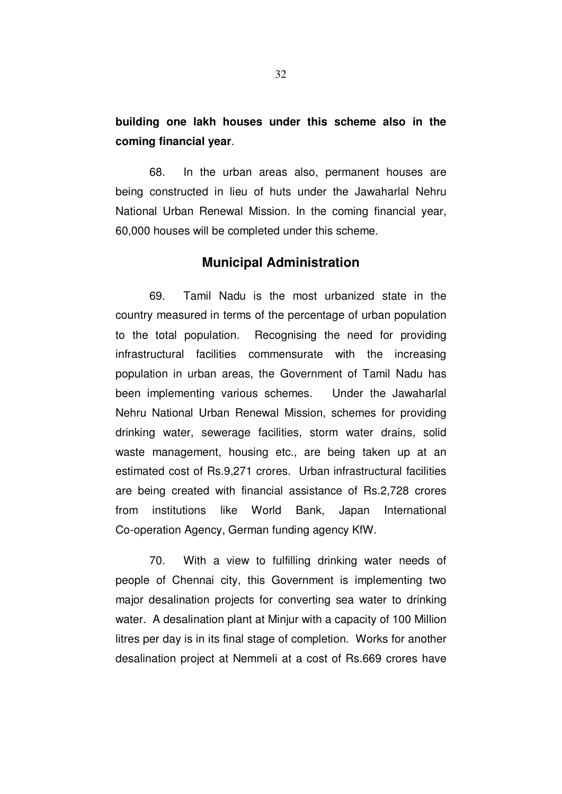# **building one lakh houses under this scheme also in the coming financial year**.

68. In the urban areas also, permanent houses are being constructed in lieu of huts under the Jawaharlal Nehru National Urban Renewal Mission. In the coming financial year, 60,000 houses will be completed under this scheme.

### **Municipal Administration**

69. Tamil Nadu is the most urbanized state in the country measured in terms of the percentage of urban population to the total population. Recognising the need for providing infrastructural facilities commensurate with the increasing population in urban areas, the Government of Tamil Nadu has been implementing various schemes. Under the Jawaharlal Nehru National Urban Renewal Mission, schemes for providing drinking water, sewerage facilities, storm water drains, solid waste management, housing etc., are being taken up at an estimated cost of Rs.9,271 crores. Urban infrastructural facilities are being created with financial assistance of Rs.2,728 crores from institutions like World Bank, Japan International Co-operation Agency, German funding agency KfW.

70. With a view to fulfilling drinking water needs of people of Chennai city, this Government is implementing two major desalination projects for converting sea water to drinking water. A desalination plant at Minjur with a capacity of 100 Million litres per day is in its final stage of completion. Works for another desalination project at Nemmeli at a cost of Rs.669 crores have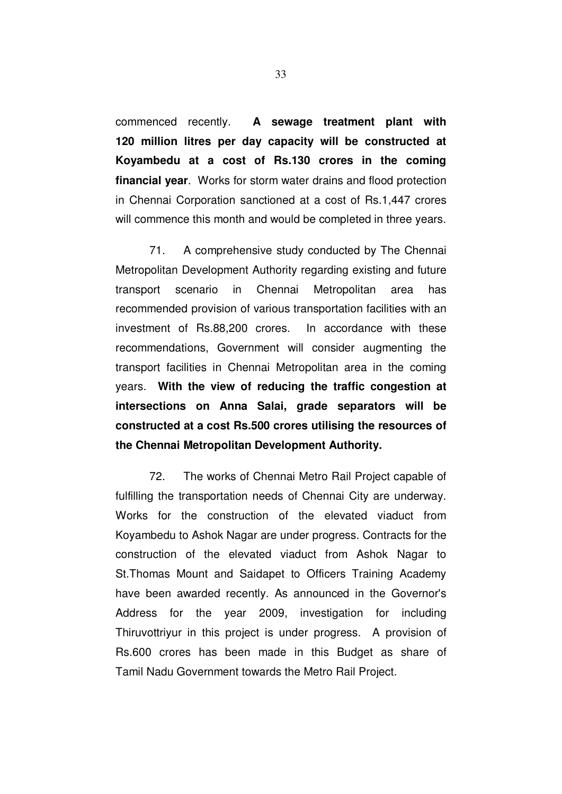commenced recently. **A sewage treatment plant with 120 million litres per day capacity will be constructed at Koyambedu at a cost of Rs.130 crores in the coming financial year**. Works for storm water drains and flood protection in Chennai Corporation sanctioned at a cost of Rs.1,447 crores will commence this month and would be completed in three years.

71. A comprehensive study conducted by The Chennai Metropolitan Development Authority regarding existing and future transport scenario in Chennai Metropolitan area has recommended provision of various transportation facilities with an investment of Rs.88,200 crores. In accordance with these recommendations, Government will consider augmenting the transport facilities in Chennai Metropolitan area in the coming years. **With the view of reducing the traffic congestion at intersections on Anna Salai, grade separators will be constructed at a cost Rs.500 crores utilising the resources of the Chennai Metropolitan Development Authority.**

72. The works of Chennai Metro Rail Project capable of fulfilling the transportation needs of Chennai City are underway. Works for the construction of the elevated viaduct from Koyambedu to Ashok Nagar are under progress. Contracts for the construction of the elevated viaduct from Ashok Nagar to St.Thomas Mount and Saidapet to Officers Training Academy have been awarded recently. As announced in the Governor's Address for the year 2009, investigation for including Thiruvottriyur in this project is under progress. A provision of Rs.600 crores has been made in this Budget as share of Tamil Nadu Government towards the Metro Rail Project.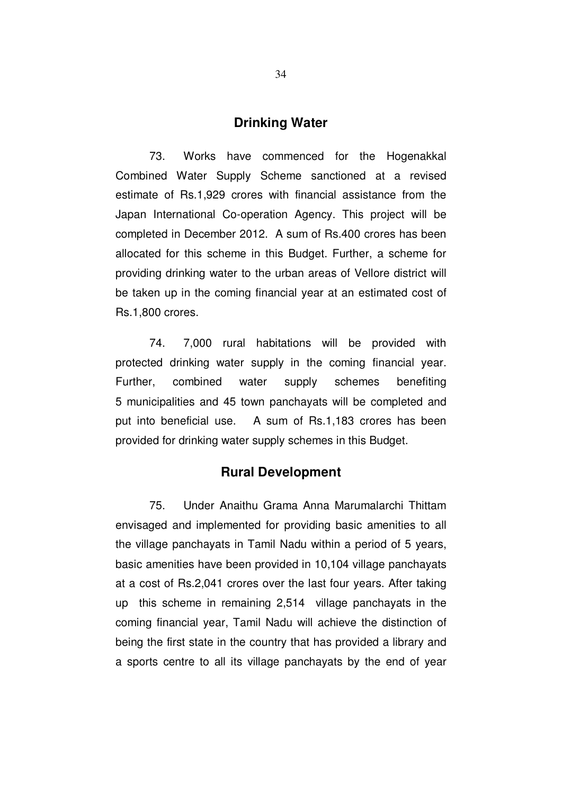#### **Drinking Water**

73. Works have commenced for the Hogenakkal Combined Water Supply Scheme sanctioned at a revised estimate of Rs.1,929 crores with financial assistance from the Japan International Co-operation Agency. This project will be completed in December 2012. A sum of Rs.400 crores has been allocated for this scheme in this Budget. Further, a scheme for providing drinking water to the urban areas of Vellore district will be taken up in the coming financial year at an estimated cost of Rs.1,800 crores.

74. 7,000 rural habitations will be provided with protected drinking water supply in the coming financial year. Further, combined water supply schemes benefiting 5 municipalities and 45 town panchayats will be completed and put into beneficial use. A sum of Rs.1,183 crores has been provided for drinking water supply schemes in this Budget.

### **Rural Development**

75. Under Anaithu Grama Anna Marumalarchi Thittam envisaged and implemented for providing basic amenities to all the village panchayats in Tamil Nadu within a period of 5 years, basic amenities have been provided in 10,104 village panchayats at a cost of Rs.2,041 crores over the last four years. After taking up this scheme in remaining 2,514 village panchayats in the coming financial year, Tamil Nadu will achieve the distinction of being the first state in the country that has provided a library and a sports centre to all its village panchayats by the end of year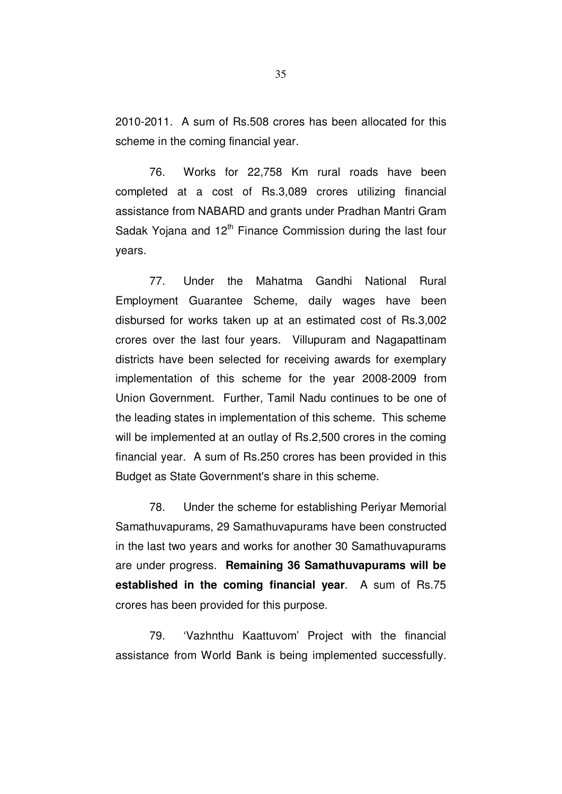2010-2011. A sum of Rs.508 crores has been allocated for this scheme in the coming financial year.

76. Works for 22,758 Km rural roads have been completed at a cost of Rs.3,089 crores utilizing financial assistance from NABARD and grants under Pradhan Mantri Gram Sadak Yojana and  $12<sup>th</sup>$  Finance Commission during the last four years.

77. Under the Mahatma Gandhi National Rural Employment Guarantee Scheme, daily wages have been disbursed for works taken up at an estimated cost of Rs.3,002 crores over the last four years. Villupuram and Nagapattinam districts have been selected for receiving awards for exemplary implementation of this scheme for the year 2008-2009 from Union Government. Further, Tamil Nadu continues to be one of the leading states in implementation of this scheme. This scheme will be implemented at an outlay of Rs.2,500 crores in the coming financial year. A sum of Rs.250 crores has been provided in this Budget as State Government's share in this scheme.

78. Under the scheme for establishing Periyar Memorial Samathuvapurams, 29 Samathuvapurams have been constructed in the last two years and works for another 30 Samathuvapurams are under progress. **Remaining 36 Samathuvapurams will be established in the coming financial year**. A sum of Rs.75 crores has been provided for this purpose.

79. 'Vazhnthu Kaattuvom' Project with the financial assistance from World Bank is being implemented successfully.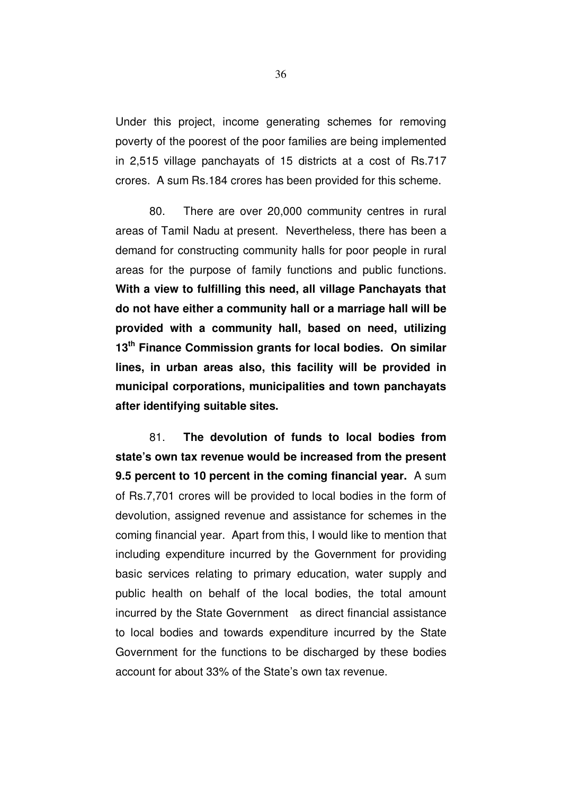Under this project, income generating schemes for removing poverty of the poorest of the poor families are being implemented in 2,515 village panchayats of 15 districts at a cost of Rs.717 crores. A sum Rs.184 crores has been provided for this scheme.

80. There are over 20,000 community centres in rural areas of Tamil Nadu at present. Nevertheless, there has been a demand for constructing community halls for poor people in rural areas for the purpose of family functions and public functions. **With a view to fulfilling this need, all village Panchayats that do not have either a community hall or a marriage hall will be provided with a community hall, based on need, utilizing 13th Finance Commission grants for local bodies. On similar lines, in urban areas also, this facility will be provided in municipal corporations, municipalities and town panchayats after identifying suitable sites.**

81. **The devolution of funds to local bodies from state's own tax revenue would be increased from the present 9.5 percent to 10 percent in the coming financial year.** A sum of Rs.7,701 crores will be provided to local bodies in the form of devolution, assigned revenue and assistance for schemes in the coming financial year. Apart from this, I would like to mention that including expenditure incurred by the Government for providing basic services relating to primary education, water supply and public health on behalf of the local bodies, the total amount incurred by the State Government as direct financial assistance to local bodies and towards expenditure incurred by the State Government for the functions to be discharged by these bodies account for about 33% of the State's own tax revenue.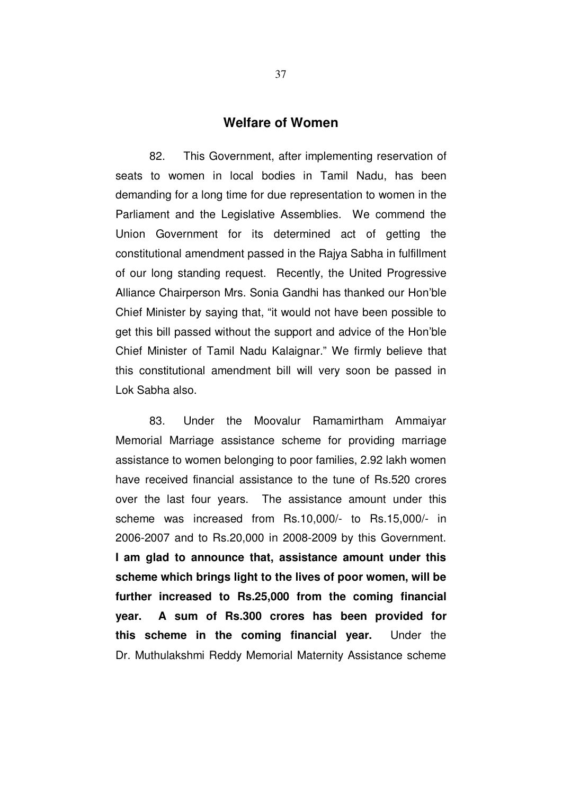## **Welfare of Women**

82. This Government, after implementing reservation of seats to women in local bodies in Tamil Nadu, has been demanding for a long time for due representation to women in the Parliament and the Legislative Assemblies. We commend the Union Government for its determined act of getting the constitutional amendment passed in the Rajya Sabha in fulfillment of our long standing request. Recently, the United Progressive Alliance Chairperson Mrs. Sonia Gandhi has thanked our Hon'ble Chief Minister by saying that, "it would not have been possible to get this bill passed without the support and advice of the Hon'ble Chief Minister of Tamil Nadu Kalaignar." We firmly believe that this constitutional amendment bill will very soon be passed in Lok Sabha also.

83. Under the Moovalur Ramamirtham Ammaiyar Memorial Marriage assistance scheme for providing marriage assistance to women belonging to poor families, 2.92 lakh women have received financial assistance to the tune of Rs.520 crores over the last four years. The assistance amount under this scheme was increased from Rs.10,000/- to Rs.15,000/- in 2006-2007 and to Rs.20,000 in 2008-2009 by this Government. **I am glad to announce that, assistance amount under this scheme which brings light to the lives of poor women, will be further increased to Rs.25,000 from the coming financial year. A sum of Rs.300 crores has been provided for this scheme in the coming financial year.** Under the Dr. Muthulakshmi Reddy Memorial Maternity Assistance scheme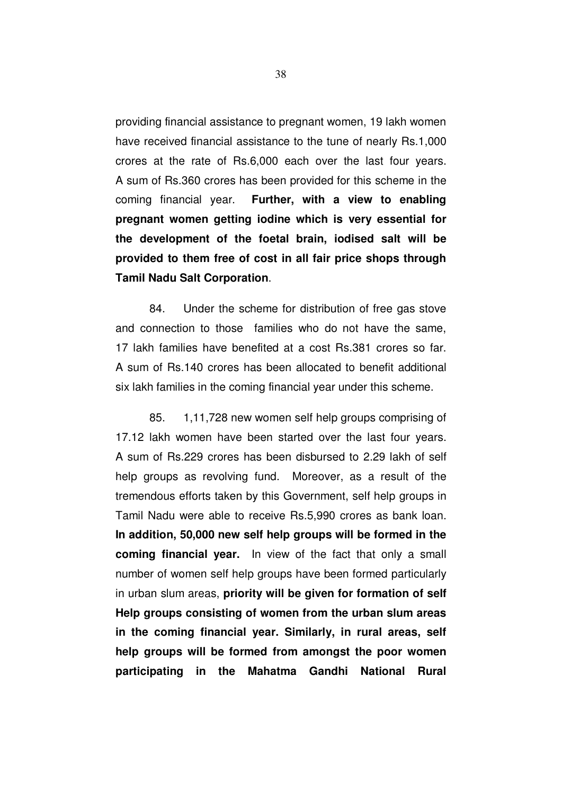providing financial assistance to pregnant women, 19 lakh women have received financial assistance to the tune of nearly Rs.1,000 crores at the rate of Rs.6,000 each over the last four years. A sum of Rs.360 crores has been provided for this scheme in the coming financial year. **Further, with a view to enabling pregnant women getting iodine which is very essential for the development of the foetal brain, iodised salt will be provided to them free of cost in all fair price shops through Tamil Nadu Salt Corporation**.

84. Under the scheme for distribution of free gas stove and connection to those families who do not have the same, 17 lakh families have benefited at a cost Rs.381 crores so far. A sum of Rs.140 crores has been allocated to benefit additional six lakh families in the coming financial year under this scheme.

85. 1,11,728 new women self help groups comprising of 17.12 lakh women have been started over the last four years. A sum of Rs.229 crores has been disbursed to 2.29 lakh of self help groups as revolving fund. Moreover, as a result of the tremendous efforts taken by this Government, self help groups in Tamil Nadu were able to receive Rs.5,990 crores as bank loan. **In addition, 50,000 new self help groups will be formed in the coming financial year.** In view of the fact that only a small number of women self help groups have been formed particularly in urban slum areas, **priority will be given for formation of self Help groups consisting of women from the urban slum areas in the coming financial year. Similarly, in rural areas, self help groups will be formed from amongst the poor women participating in the Mahatma Gandhi National Rural**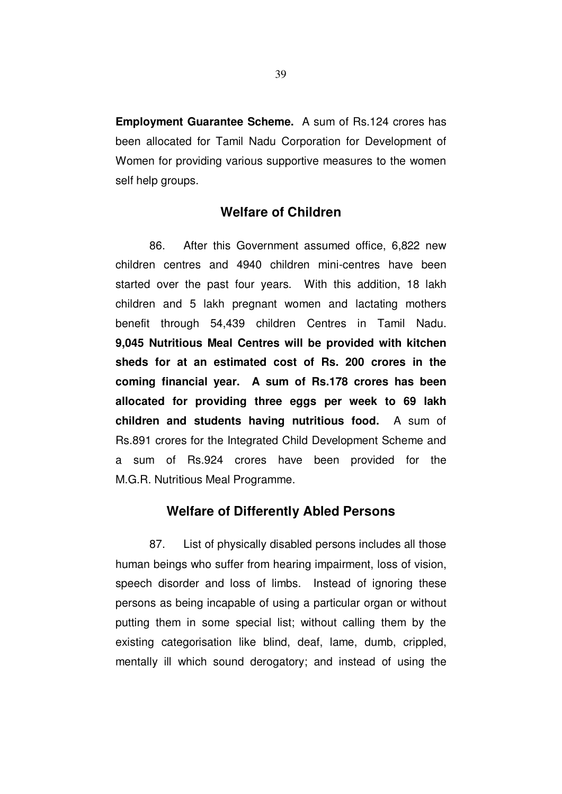**Employment Guarantee Scheme.** A sum of Rs.124 crores has been allocated for Tamil Nadu Corporation for Development of Women for providing various supportive measures to the women self help groups.

# **Welfare of Children**

86. After this Government assumed office, 6,822 new children centres and 4940 children mini-centres have been started over the past four years. With this addition, 18 lakh children and 5 lakh pregnant women and lactating mothers benefit through 54,439 children Centres in Tamil Nadu. **9,045 Nutritious Meal Centres will be provided with kitchen sheds for at an estimated cost of Rs. 200 crores in the coming financial year. A sum of Rs.178 crores has been allocated for providing three eggs per week to 69 lakh children and students having nutritious food.** A sum of Rs.891 crores for the Integrated Child Development Scheme and a sum of Rs.924 crores have been provided for the M.G.R. Nutritious Meal Programme.

## **Welfare of Differently Abled Persons**

87. List of physically disabled persons includes all those human beings who suffer from hearing impairment, loss of vision, speech disorder and loss of limbs. Instead of ignoring these persons as being incapable of using a particular organ or without putting them in some special list; without calling them by the existing categorisation like blind, deaf, lame, dumb, crippled, mentally ill which sound derogatory; and instead of using the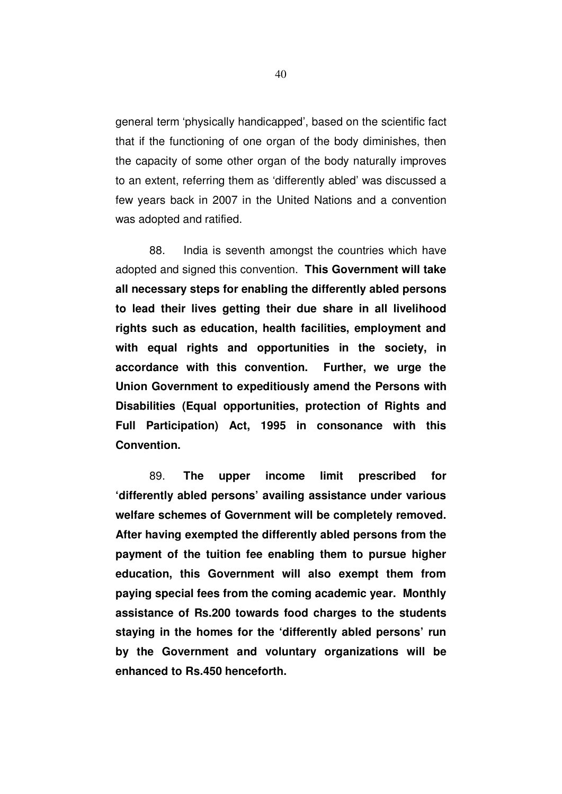general term 'physically handicapped', based on the scientific fact that if the functioning of one organ of the body diminishes, then the capacity of some other organ of the body naturally improves to an extent, referring them as 'differently abled' was discussed a few years back in 2007 in the United Nations and a convention was adopted and ratified.

88. India is seventh amongst the countries which have adopted and signed this convention. **This Government will take all necessary steps for enabling the differently abled persons to lead their lives getting their due share in all livelihood rights such as education, health facilities, employment and with equal rights and opportunities in the society, in accordance with this convention. Further, we urge the Union Government to expeditiously amend the Persons with Disabilities (Equal opportunities, protection of Rights and Full Participation) Act, 1995 in consonance with this Convention.** 

89. **The upper income limit prescribed for 'differently abled persons' availing assistance under various welfare schemes of Government will be completely removed. After having exempted the differently abled persons from the payment of the tuition fee enabling them to pursue higher education, this Government will also exempt them from paying special fees from the coming academic year. Monthly assistance of Rs.200 towards food charges to the students staying in the homes for the 'differently abled persons' run by the Government and voluntary organizations will be enhanced to Rs.450 henceforth.**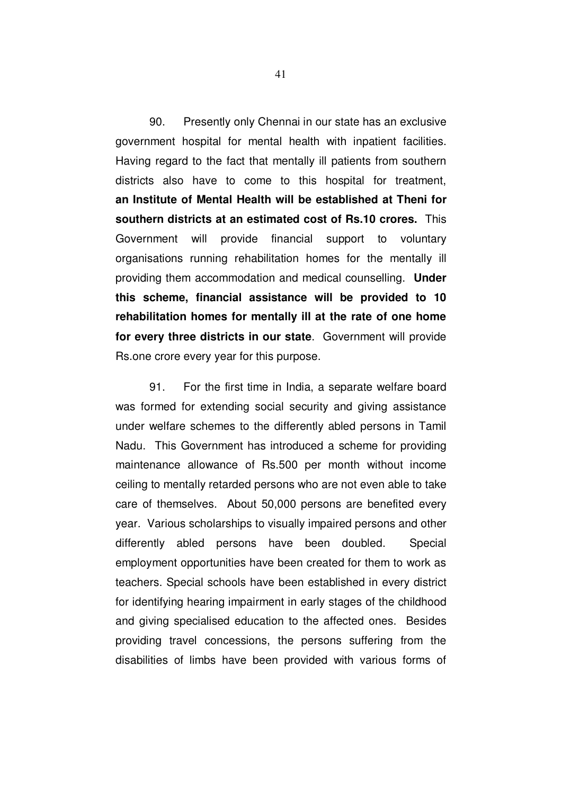90. Presently only Chennai in our state has an exclusive government hospital for mental health with inpatient facilities. Having regard to the fact that mentally ill patients from southern districts also have to come to this hospital for treatment, **an Institute of Mental Health will be established at Theni for southern districts at an estimated cost of Rs.10 crores.** This Government will provide financial support to voluntary organisations running rehabilitation homes for the mentally ill providing them accommodation and medical counselling. **Under this scheme, financial assistance will be provided to 10 rehabilitation homes for mentally ill at the rate of one home for every three districts in our state**. Government will provide Rs.one crore every year for this purpose.

91. For the first time in India, a separate welfare board was formed for extending social security and giving assistance under welfare schemes to the differently abled persons in Tamil Nadu. This Government has introduced a scheme for providing maintenance allowance of Rs.500 per month without income ceiling to mentally retarded persons who are not even able to take care of themselves. About 50,000 persons are benefited every year. Various scholarships to visually impaired persons and other differently abled persons have been doubled. Special employment opportunities have been created for them to work as teachers. Special schools have been established in every district for identifying hearing impairment in early stages of the childhood and giving specialised education to the affected ones. Besides providing travel concessions, the persons suffering from the disabilities of limbs have been provided with various forms of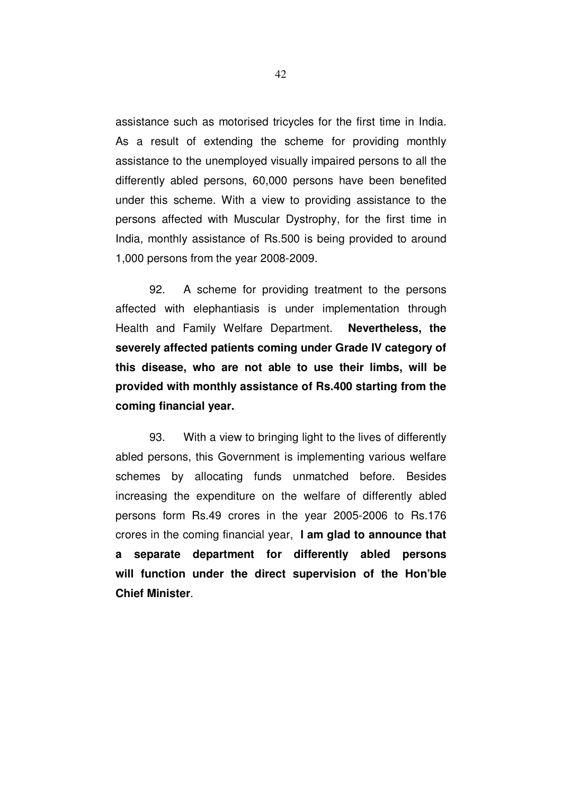assistance such as motorised tricycles for the first time in India. As a result of extending the scheme for providing monthly assistance to the unemployed visually impaired persons to all the differently abled persons, 60,000 persons have been benefited under this scheme. With a view to providing assistance to the persons affected with Muscular Dystrophy, for the first time in India, monthly assistance of Rs.500 is being provided to around 1,000 persons from the year 2008-2009.

92. A scheme for providing treatment to the persons affected with elephantiasis is under implementation through Health and Family Welfare Department. **Nevertheless, the severely affected patients coming under Grade IV category of this disease, who are not able to use their limbs, will be provided with monthly assistance of Rs.400 starting from the coming financial year.** 

93. With a view to bringing light to the lives of differently abled persons, this Government is implementing various welfare schemes by allocating funds unmatched before. Besides increasing the expenditure on the welfare of differently abled persons form Rs.49 crores in the year 2005-2006 to Rs.176 crores in the coming financial year, **I am glad to announce that a separate department for differently abled persons will function under the direct supervision of the Hon'ble Chief Minister**.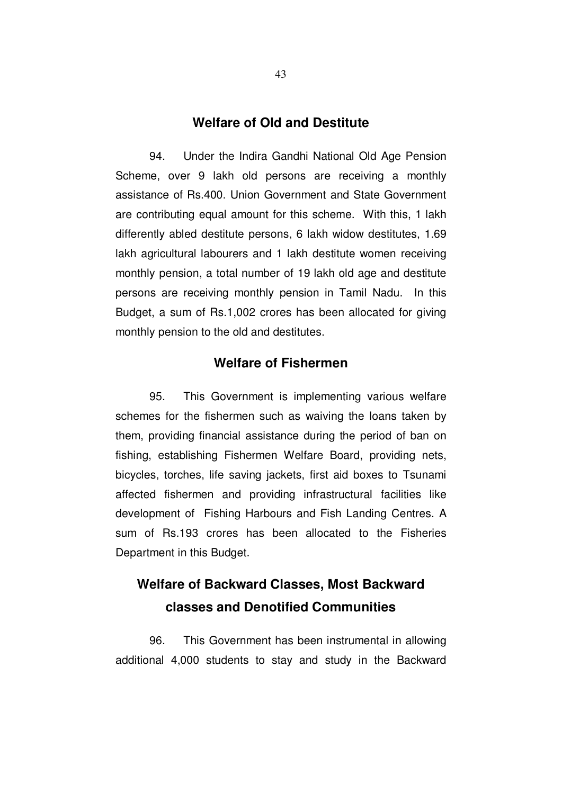# **Welfare of Old and Destitute**

94. Under the Indira Gandhi National Old Age Pension Scheme, over 9 lakh old persons are receiving a monthly assistance of Rs.400. Union Government and State Government are contributing equal amount for this scheme. With this, 1 lakh differently abled destitute persons, 6 lakh widow destitutes, 1.69 lakh agricultural labourers and 1 lakh destitute women receiving monthly pension, a total number of 19 lakh old age and destitute persons are receiving monthly pension in Tamil Nadu. In this Budget, a sum of Rs.1,002 crores has been allocated for giving monthly pension to the old and destitutes.

# **Welfare of Fishermen**

95. This Government is implementing various welfare schemes for the fishermen such as waiving the loans taken by them, providing financial assistance during the period of ban on fishing, establishing Fishermen Welfare Board, providing nets, bicycles, torches, life saving jackets, first aid boxes to Tsunami affected fishermen and providing infrastructural facilities like development of Fishing Harbours and Fish Landing Centres. A sum of Rs.193 crores has been allocated to the Fisheries Department in this Budget.

# **Welfare of Backward Classes, Most Backward classes and Denotified Communities**

96. This Government has been instrumental in allowing additional 4,000 students to stay and study in the Backward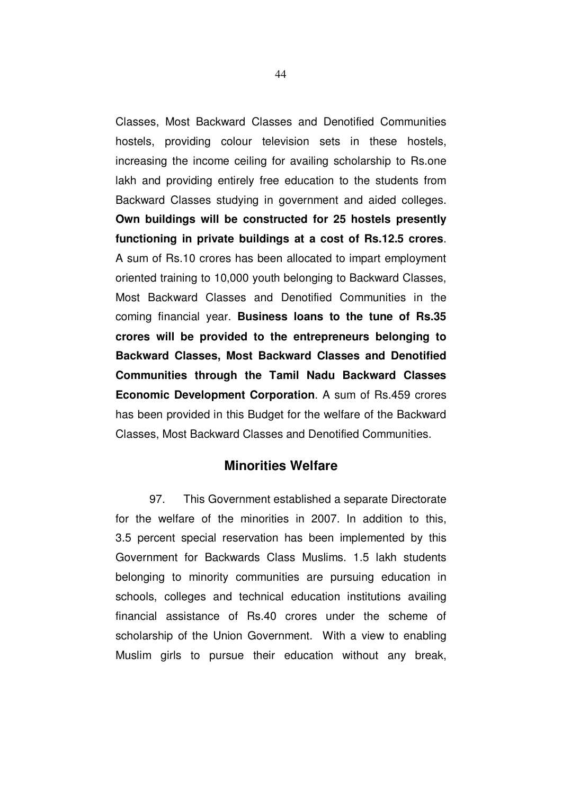Classes, Most Backward Classes and Denotified Communities hostels, providing colour television sets in these hostels, increasing the income ceiling for availing scholarship to Rs.one lakh and providing entirely free education to the students from Backward Classes studying in government and aided colleges. **Own buildings will be constructed for 25 hostels presently functioning in private buildings at a cost of Rs.12.5 crores**. A sum of Rs.10 crores has been allocated to impart employment oriented training to 10,000 youth belonging to Backward Classes, Most Backward Classes and Denotified Communities in the coming financial year. **Business loans to the tune of Rs.35 crores will be provided to the entrepreneurs belonging to Backward Classes, Most Backward Classes and Denotified Communities through the Tamil Nadu Backward Classes Economic Development Corporation**. A sum of Rs.459 crores has been provided in this Budget for the welfare of the Backward Classes, Most Backward Classes and Denotified Communities.

# **Minorities Welfare**

97. This Government established a separate Directorate for the welfare of the minorities in 2007. In addition to this, 3.5 percent special reservation has been implemented by this Government for Backwards Class Muslims. 1.5 lakh students belonging to minority communities are pursuing education in schools, colleges and technical education institutions availing financial assistance of Rs.40 crores under the scheme of scholarship of the Union Government. With a view to enabling Muslim girls to pursue their education without any break,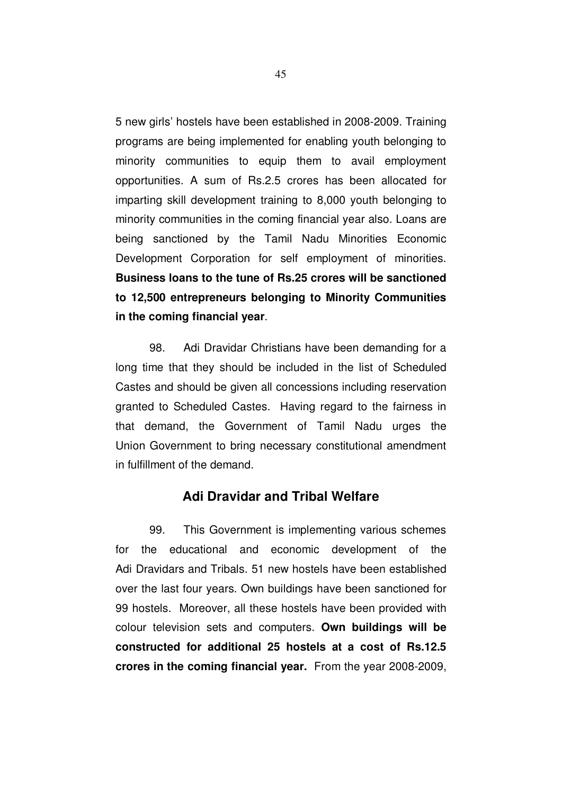5 new girls' hostels have been established in 2008-2009. Training programs are being implemented for enabling youth belonging to minority communities to equip them to avail employment opportunities. A sum of Rs.2.5 crores has been allocated for imparting skill development training to 8,000 youth belonging to minority communities in the coming financial year also. Loans are being sanctioned by the Tamil Nadu Minorities Economic Development Corporation for self employment of minorities. **Business loans to the tune of Rs.25 crores will be sanctioned to 12,500 entrepreneurs belonging to Minority Communities in the coming financial year**.

98. Adi Dravidar Christians have been demanding for a long time that they should be included in the list of Scheduled Castes and should be given all concessions including reservation granted to Scheduled Castes. Having regard to the fairness in that demand, the Government of Tamil Nadu urges the Union Government to bring necessary constitutional amendment in fulfillment of the demand.

# **Adi Dravidar and Tribal Welfare**

99. This Government is implementing various schemes for the educational and economic development of the Adi Dravidars and Tribals. 51 new hostels have been established over the last four years. Own buildings have been sanctioned for 99 hostels. Moreover, all these hostels have been provided with colour television sets and computers. **Own buildings will be constructed for additional 25 hostels at a cost of Rs.12.5 crores in the coming financial year.** From the year 2008-2009,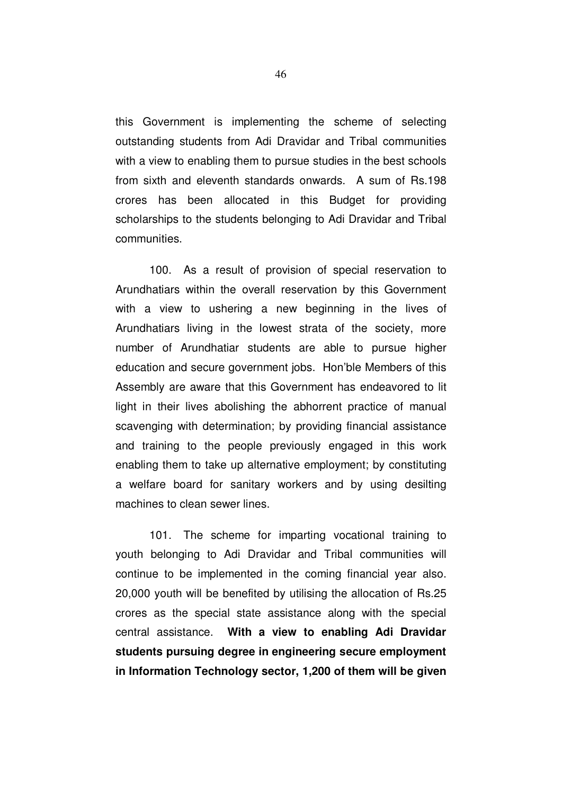this Government is implementing the scheme of selecting outstanding students from Adi Dravidar and Tribal communities with a view to enabling them to pursue studies in the best schools from sixth and eleventh standards onwards. A sum of Rs.198 crores has been allocated in this Budget for providing scholarships to the students belonging to Adi Dravidar and Tribal communities.

100. As a result of provision of special reservation to Arundhatiars within the overall reservation by this Government with a view to ushering a new beginning in the lives of Arundhatiars living in the lowest strata of the society, more number of Arundhatiar students are able to pursue higher education and secure government jobs. Hon'ble Members of this Assembly are aware that this Government has endeavored to lit light in their lives abolishing the abhorrent practice of manual scavenging with determination; by providing financial assistance and training to the people previously engaged in this work enabling them to take up alternative employment; by constituting a welfare board for sanitary workers and by using desilting machines to clean sewer lines.

101. The scheme for imparting vocational training to youth belonging to Adi Dravidar and Tribal communities will continue to be implemented in the coming financial year also. 20,000 youth will be benefited by utilising the allocation of Rs.25 crores as the special state assistance along with the special central assistance. **With a view to enabling Adi Dravidar students pursuing degree in engineering secure employment in Information Technology sector, 1,200 of them will be given**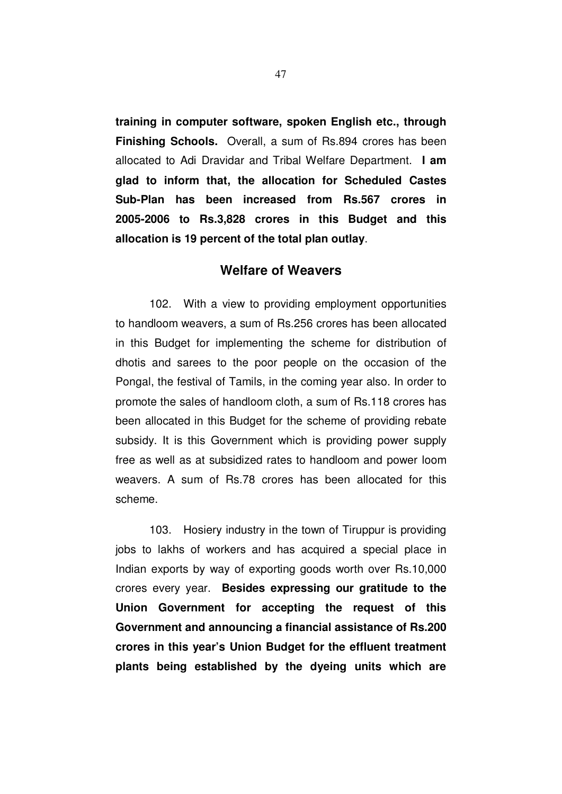**training in computer software, spoken English etc., through Finishing Schools.** Overall, a sum of Rs.894 crores has been allocated to Adi Dravidar and Tribal Welfare Department. **I am glad to inform that, the allocation for Scheduled Castes Sub-Plan has been increased from Rs.567 crores in 2005-2006 to Rs.3,828 crores in this Budget and this allocation is 19 percent of the total plan outlay**.

#### **Welfare of Weavers**

102. With a view to providing employment opportunities to handloom weavers, a sum of Rs.256 crores has been allocated in this Budget for implementing the scheme for distribution of dhotis and sarees to the poor people on the occasion of the Pongal, the festival of Tamils, in the coming year also. In order to promote the sales of handloom cloth, a sum of Rs.118 crores has been allocated in this Budget for the scheme of providing rebate subsidy. It is this Government which is providing power supply free as well as at subsidized rates to handloom and power loom weavers. A sum of Rs.78 crores has been allocated for this scheme.

103. Hosiery industry in the town of Tiruppur is providing jobs to lakhs of workers and has acquired a special place in Indian exports by way of exporting goods worth over Rs.10,000 crores every year. **Besides expressing our gratitude to the Union Government for accepting the request of this Government and announcing a financial assistance of Rs.200 crores in this year's Union Budget for the effluent treatment plants being established by the dyeing units which are**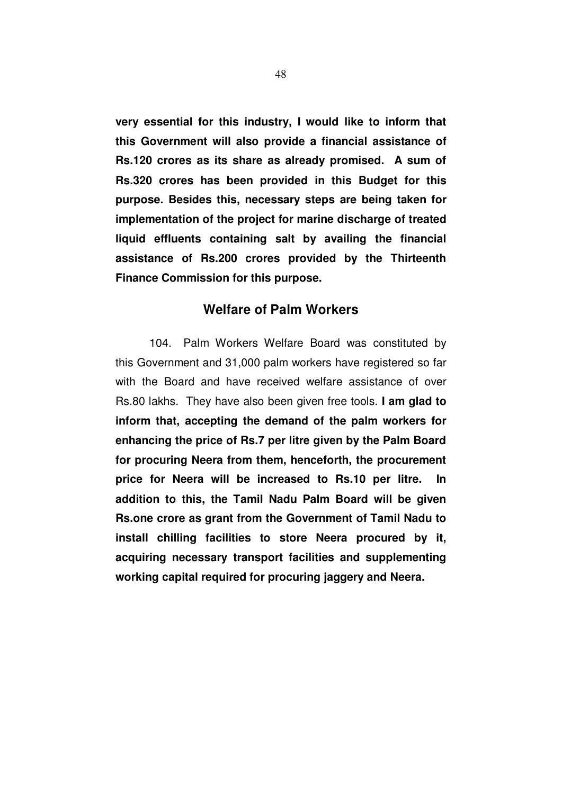**very essential for this industry, I would like to inform that this Government will also provide a financial assistance of Rs.120 crores as its share as already promised. A sum of Rs.320 crores has been provided in this Budget for this purpose. Besides this, necessary steps are being taken for implementation of the project for marine discharge of treated liquid effluents containing salt by availing the financial assistance of Rs.200 crores provided by the Thirteenth Finance Commission for this purpose.**

# **Welfare of Palm Workers**

104. Palm Workers Welfare Board was constituted by this Government and 31,000 palm workers have registered so far with the Board and have received welfare assistance of over Rs.80 lakhs. They have also been given free tools. **I am glad to inform that, accepting the demand of the palm workers for enhancing the price of Rs.7 per litre given by the Palm Board for procuring Neera from them, henceforth, the procurement**  price for Neera will be increased to Rs.10 per litre. **addition to this, the Tamil Nadu Palm Board will be given Rs.one crore as grant from the Government of Tamil Nadu to install chilling facilities to store Neera procured by it, acquiring necessary transport facilities and supplementing working capital required for procuring jaggery and Neera.**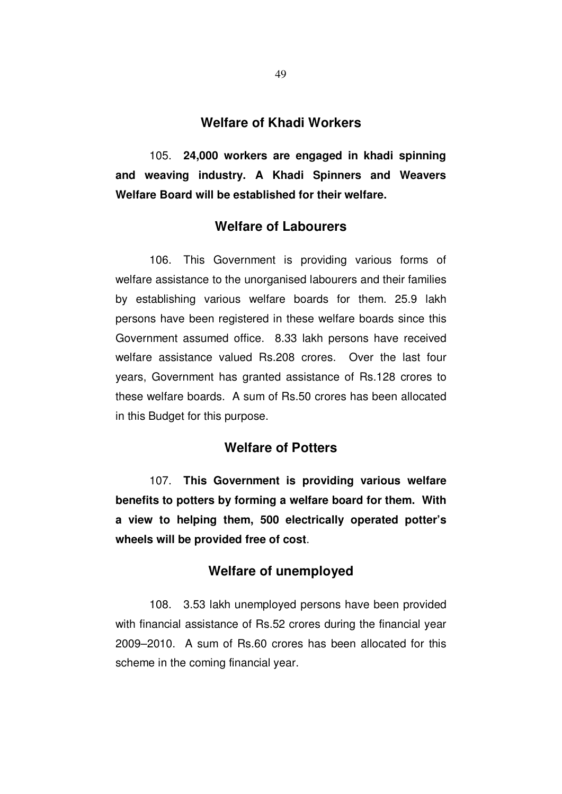## **Welfare of Khadi Workers**

105. **24,000 workers are engaged in khadi spinning and weaving industry. A Khadi Spinners and Weavers Welfare Board will be established for their welfare.** 

# **Welfare of Labourers**

106. This Government is providing various forms of welfare assistance to the unorganised labourers and their families by establishing various welfare boards for them. 25.9 lakh persons have been registered in these welfare boards since this Government assumed office. 8.33 lakh persons have received welfare assistance valued Rs.208 crores. Over the last four years, Government has granted assistance of Rs.128 crores to these welfare boards. A sum of Rs.50 crores has been allocated in this Budget for this purpose.

# **Welfare of Potters**

107. **This Government is providing various welfare benefits to potters by forming a welfare board for them. With a view to helping them, 500 electrically operated potter's wheels will be provided free of cost**.

# **Welfare of unemployed**

108. 3.53 lakh unemployed persons have been provided with financial assistance of Rs.52 crores during the financial year 2009–2010. A sum of Rs.60 crores has been allocated for this scheme in the coming financial year.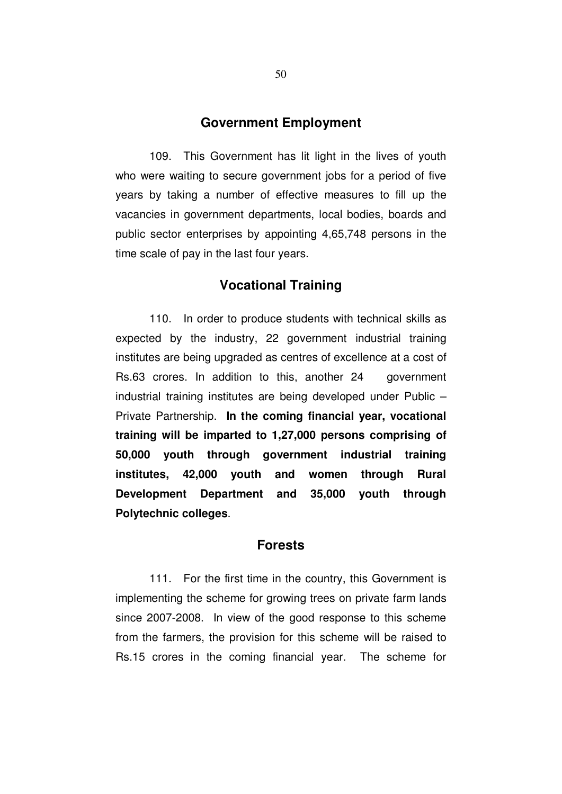## **Government Employment**

109. This Government has lit light in the lives of youth who were waiting to secure government jobs for a period of five years by taking a number of effective measures to fill up the vacancies in government departments, local bodies, boards and public sector enterprises by appointing 4,65,748 persons in the time scale of pay in the last four years.

# **Vocational Training**

110. In order to produce students with technical skills as expected by the industry, 22 government industrial training institutes are being upgraded as centres of excellence at a cost of Rs.63 crores. In addition to this, another 24 government industrial training institutes are being developed under Public – Private Partnership. **In the coming financial year, vocational training will be imparted to 1,27,000 persons comprising of 50,000 youth through government industrial training institutes, 42,000 youth and women through Rural Development Department and 35,000 youth through Polytechnic colleges**.

#### **Forests**

111. For the first time in the country, this Government is implementing the scheme for growing trees on private farm lands since 2007-2008. In view of the good response to this scheme from the farmers, the provision for this scheme will be raised to Rs.15 crores in the coming financial year. The scheme for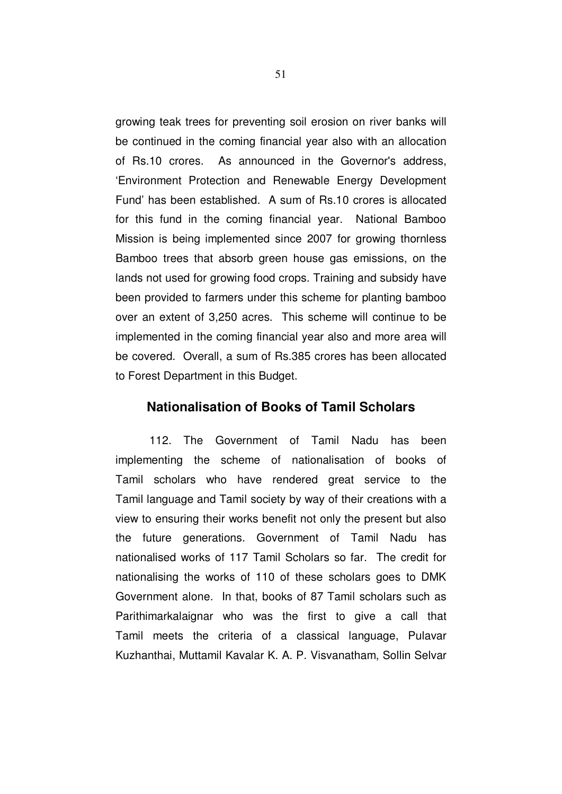growing teak trees for preventing soil erosion on river banks will be continued in the coming financial year also with an allocation of Rs.10 crores. As announced in the Governor's address, 'Environment Protection and Renewable Energy Development Fund' has been established. A sum of Rs.10 crores is allocated for this fund in the coming financial year. National Bamboo Mission is being implemented since 2007 for growing thornless Bamboo trees that absorb green house gas emissions, on the lands not used for growing food crops. Training and subsidy have been provided to farmers under this scheme for planting bamboo over an extent of 3,250 acres. This scheme will continue to be implemented in the coming financial year also and more area will be covered. Overall, a sum of Rs.385 crores has been allocated to Forest Department in this Budget.

## **Nationalisation of Books of Tamil Scholars**

112. The Government of Tamil Nadu has been implementing the scheme of nationalisation of books of Tamil scholars who have rendered great service to the Tamil language and Tamil society by way of their creations with a view to ensuring their works benefit not only the present but also the future generations. Government of Tamil Nadu has nationalised works of 117 Tamil Scholars so far. The credit for nationalising the works of 110 of these scholars goes to DMK Government alone. In that, books of 87 Tamil scholars such as Parithimarkalaignar who was the first to give a call that Tamil meets the criteria of a classical language, Pulavar Kuzhanthai, Muttamil Kavalar K. A. P. Visvanatham, Sollin Selvar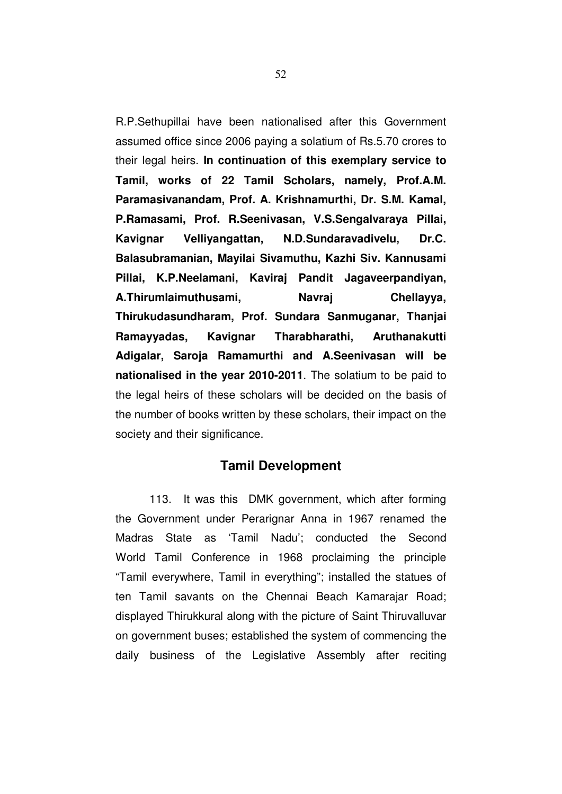R.P.Sethupillai have been nationalised after this Government assumed office since 2006 paying a solatium of Rs.5.70 crores to their legal heirs. **In continuation of this exemplary service to Tamil, works of 22 Tamil Scholars, namely, Prof.A.M. Paramasivanandam, Prof. A. Krishnamurthi, Dr. S.M. Kamal, P.Ramasami, Prof. R.Seenivasan, V.S.Sengalvaraya Pillai, Kavignar Velliyangattan, N.D.Sundaravadivelu, Dr.C. Balasubramanian, Mayilai Sivamuthu, Kazhi Siv. Kannusami Pillai, K.P.Neelamani, Kaviraj Pandit Jagaveerpandiyan, A.Thirumlaimuthusami, Navraj Chellayya, Thirukudasundharam, Prof. Sundara Sanmuganar, Thanjai Ramayyadas, Kavignar Tharabharathi, Aruthanakutti Adigalar, Saroja Ramamurthi and A.Seenivasan will be nationalised in the year 2010-2011**. The solatium to be paid to the legal heirs of these scholars will be decided on the basis of the number of books written by these scholars, their impact on the society and their significance.

## **Tamil Development**

113. It was this DMK government, which after forming the Government under Perarignar Anna in 1967 renamed the Madras State as 'Tamil Nadu'; conducted the Second World Tamil Conference in 1968 proclaiming the principle "Tamil everywhere, Tamil in everything"; installed the statues of ten Tamil savants on the Chennai Beach Kamarajar Road; displayed Thirukkural along with the picture of Saint Thiruvalluvar on government buses; established the system of commencing the daily business of the Legislative Assembly after reciting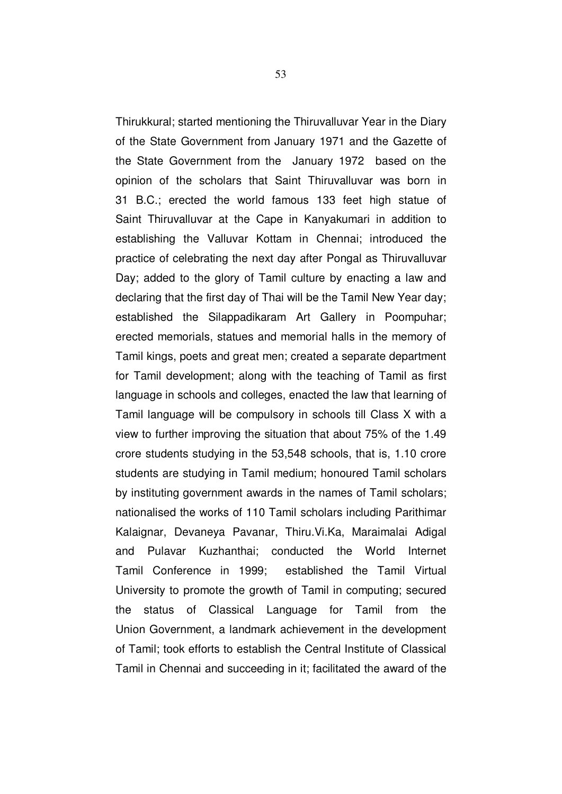Thirukkural; started mentioning the Thiruvalluvar Year in the Diary of the State Government from January 1971 and the Gazette of the State Government from the January 1972 based on the opinion of the scholars that Saint Thiruvalluvar was born in 31 B.C.; erected the world famous 133 feet high statue of Saint Thiruvalluvar at the Cape in Kanyakumari in addition to establishing the Valluvar Kottam in Chennai; introduced the practice of celebrating the next day after Pongal as Thiruvalluvar Day; added to the glory of Tamil culture by enacting a law and declaring that the first day of Thai will be the Tamil New Year day; established the Silappadikaram Art Gallery in Poompuhar; erected memorials, statues and memorial halls in the memory of Tamil kings, poets and great men; created a separate department for Tamil development; along with the teaching of Tamil as first language in schools and colleges, enacted the law that learning of Tamil language will be compulsory in schools till Class X with a view to further improving the situation that about 75% of the 1.49 crore students studying in the 53,548 schools, that is, 1.10 crore students are studying in Tamil medium; honoured Tamil scholars by instituting government awards in the names of Tamil scholars; nationalised the works of 110 Tamil scholars including Parithimar Kalaignar, Devaneya Pavanar, Thiru.Vi.Ka, Maraimalai Adigal and Pulavar Kuzhanthai; conducted the World Internet Tamil Conference in 1999; established the Tamil Virtual University to promote the growth of Tamil in computing; secured the status of Classical Language for Tamil from the Union Government, a landmark achievement in the development of Tamil; took efforts to establish the Central Institute of Classical Tamil in Chennai and succeeding in it; facilitated the award of the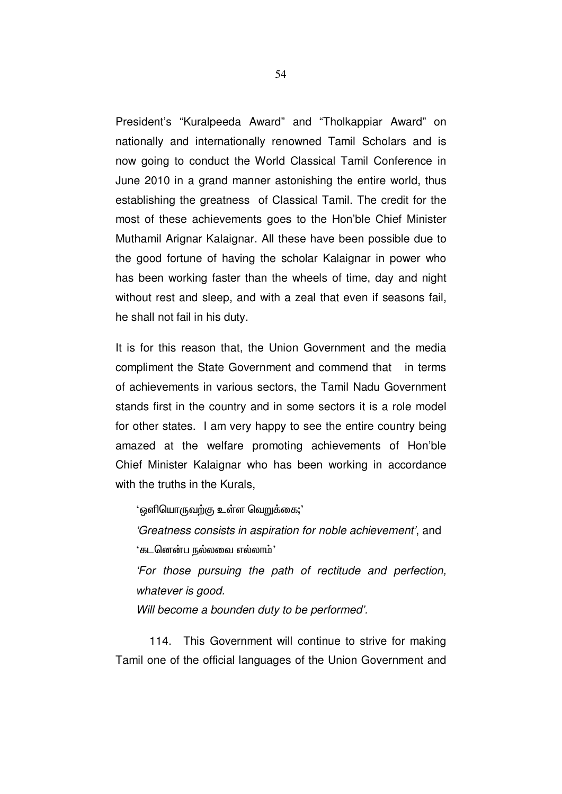President's "Kuralpeeda Award" and "Tholkappiar Award" on nationally and internationally renowned Tamil Scholars and is now going to conduct the World Classical Tamil Conference in June 2010 in a grand manner astonishing the entire world, thus establishing the greatness of Classical Tamil. The credit for the most of these achievements goes to the Hon'ble Chief Minister Muthamil Arignar Kalaignar. All these have been possible due to the good fortune of having the scholar Kalaignar in power who has been working faster than the wheels of time, day and night without rest and sleep, and with a zeal that even if seasons fail, he shall not fail in his duty.

It is for this reason that, the Union Government and the media compliment the State Government and commend that in terms of achievements in various sectors, the Tamil Nadu Government stands first in the country and in some sectors it is a role model for other states. I am very happy to see the entire country being amazed at the welfare promoting achievements of Hon'ble Chief Minister Kalaignar who has been working in accordance with the truths in the Kurals.

 $\lq\cdot$ ஒளியொருவற்கு உள்ள வெறுக்கை; $\lq\cdot$ 

'Greatness consists in aspiration for noble achievement', and  $\lq$ கடனென்ப நல்லவை எல்லாம் $\lq$ 

'For those pursuing the path of rectitude and perfection, whatever is good.

Will become a bounden duty to be performed'.

114. This Government will continue to strive for making Tamil one of the official languages of the Union Government and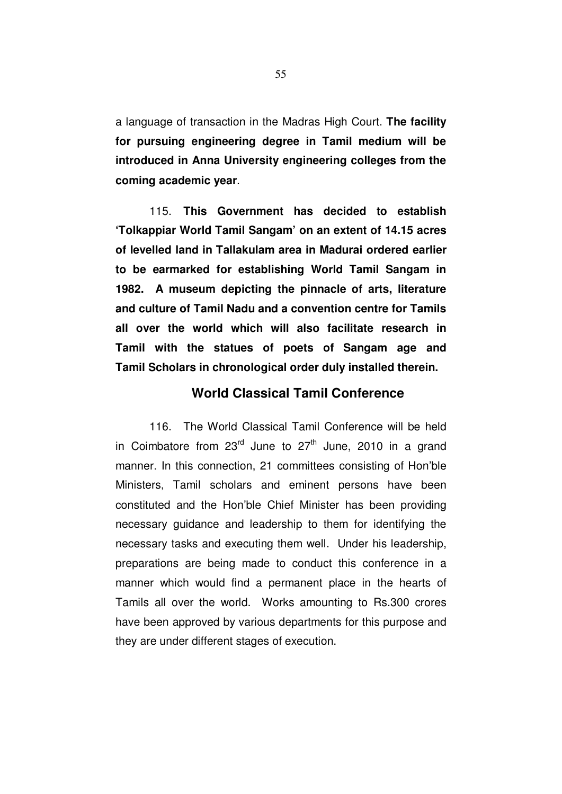a language of transaction in the Madras High Court. **The facility for pursuing engineering degree in Tamil medium will be introduced in Anna University engineering colleges from the coming academic year**.

115. **This Government has decided to establish 'Tolkappiar World Tamil Sangam' on an extent of 14.15 acres of levelled land in Tallakulam area in Madurai ordered earlier to be earmarked for establishing World Tamil Sangam in 1982. A museum depicting the pinnacle of arts, literature and culture of Tamil Nadu and a convention centre for Tamils all over the world which will also facilitate research in Tamil with the statues of poets of Sangam age and Tamil Scholars in chronological order duly installed therein.**

# **World Classical Tamil Conference**

116. The World Classical Tamil Conference will be held in Coimbatore from  $23^{rd}$  June to  $27^{th}$  June, 2010 in a grand manner. In this connection, 21 committees consisting of Hon'ble Ministers, Tamil scholars and eminent persons have been constituted and the Hon'ble Chief Minister has been providing necessary guidance and leadership to them for identifying the necessary tasks and executing them well. Under his leadership, preparations are being made to conduct this conference in a manner which would find a permanent place in the hearts of Tamils all over the world. Works amounting to Rs.300 crores have been approved by various departments for this purpose and they are under different stages of execution.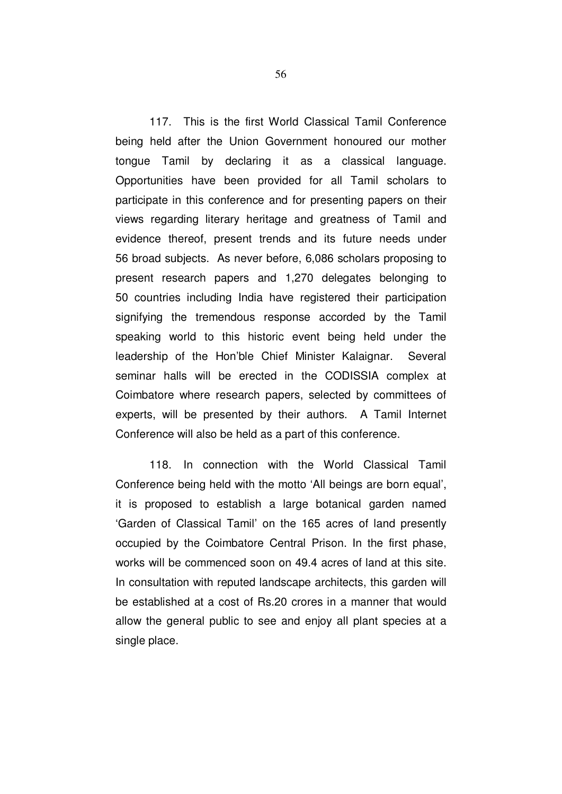117. This is the first World Classical Tamil Conference being held after the Union Government honoured our mother tongue Tamil by declaring it as a classical language. Opportunities have been provided for all Tamil scholars to participate in this conference and for presenting papers on their views regarding literary heritage and greatness of Tamil and evidence thereof, present trends and its future needs under 56 broad subjects. As never before, 6,086 scholars proposing to present research papers and 1,270 delegates belonging to 50 countries including India have registered their participation signifying the tremendous response accorded by the Tamil speaking world to this historic event being held under the leadership of the Hon'ble Chief Minister Kalaignar. Several seminar halls will be erected in the CODISSIA complex at Coimbatore where research papers, selected by committees of experts, will be presented by their authors. A Tamil Internet Conference will also be held as a part of this conference.

118. In connection with the World Classical Tamil Conference being held with the motto 'All beings are born equal', it is proposed to establish a large botanical garden named 'Garden of Classical Tamil' on the 165 acres of land presently occupied by the Coimbatore Central Prison. In the first phase, works will be commenced soon on 49.4 acres of land at this site. In consultation with reputed landscape architects, this garden will be established at a cost of Rs.20 crores in a manner that would allow the general public to see and enjoy all plant species at a single place.

56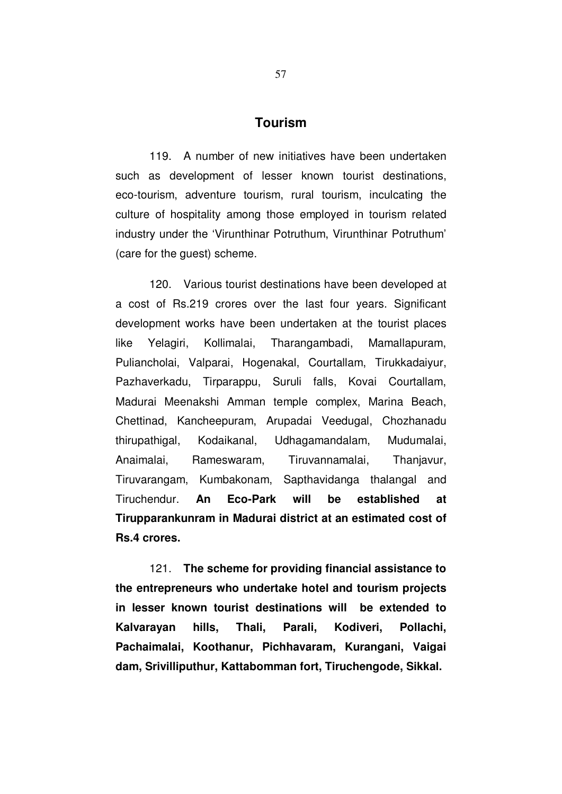## **Tourism**

119. A number of new initiatives have been undertaken such as development of lesser known tourist destinations, eco-tourism, adventure tourism, rural tourism, inculcating the culture of hospitality among those employed in tourism related industry under the 'Virunthinar Potruthum, Virunthinar Potruthum' (care for the guest) scheme.

120. Various tourist destinations have been developed at a cost of Rs.219 crores over the last four years. Significant development works have been undertaken at the tourist places like Yelagiri, Kollimalai, Tharangambadi, Mamallapuram, Puliancholai, Valparai, Hogenakal, Courtallam, Tirukkadaiyur, Pazhaverkadu, Tirparappu, Suruli falls, Kovai Courtallam, Madurai Meenakshi Amman temple complex, Marina Beach, Chettinad, Kancheepuram, Arupadai Veedugal, Chozhanadu thirupathigal, Kodaikanal, Udhagamandalam, Mudumalai, Anaimalai, Rameswaram, Tiruvannamalai, Thanjavur, Tiruvarangam, Kumbakonam, Sapthavidanga thalangal and Tiruchendur. **An Eco-Park will be established at Tirupparankunram in Madurai district at an estimated cost of Rs.4 crores.**

121. **The scheme for providing financial assistance to the entrepreneurs who undertake hotel and tourism projects in lesser known tourist destinations will be extended to Kalvarayan hills, Thali, Parali, Kodiveri, Pollachi, Pachaimalai, Koothanur, Pichhavaram, Kurangani, Vaigai dam, Srivilliputhur, Kattabomman fort, Tiruchengode, Sikkal.**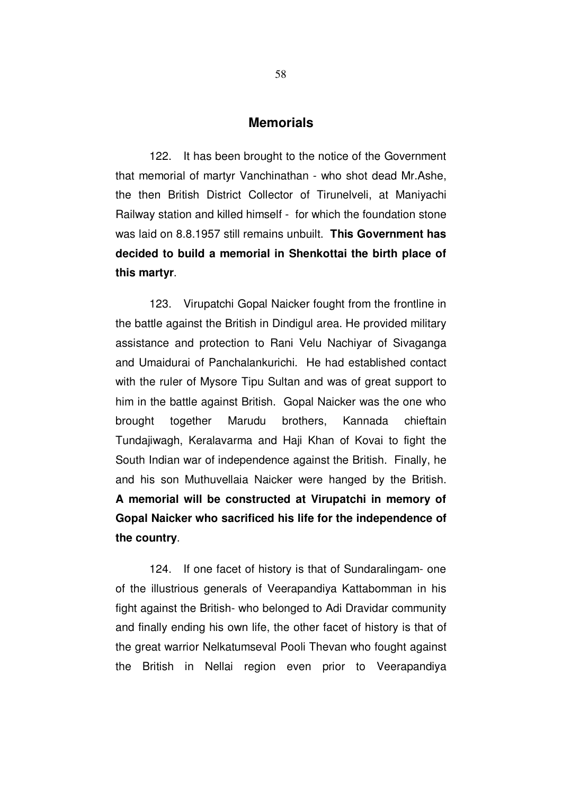#### **Memorials**

122. It has been brought to the notice of the Government that memorial of martyr Vanchinathan - who shot dead Mr.Ashe, the then British District Collector of Tirunelveli, at Maniyachi Railway station and killed himself - for which the foundation stone was laid on 8.8.1957 still remains unbuilt. **This Government has decided to build a memorial in Shenkottai the birth place of this martyr**.

123. Virupatchi Gopal Naicker fought from the frontline in the battle against the British in Dindigul area. He provided military assistance and protection to Rani Velu Nachiyar of Sivaganga and Umaidurai of Panchalankurichi. He had established contact with the ruler of Mysore Tipu Sultan and was of great support to him in the battle against British. Gopal Naicker was the one who brought together Marudu brothers, Kannada chieftain Tundajiwagh, Keralavarma and Haji Khan of Kovai to fight the South Indian war of independence against the British. Finally, he and his son Muthuvellaia Naicker were hanged by the British. **A memorial will be constructed at Virupatchi in memory of Gopal Naicker who sacrificed his life for the independence of the country**.

124. If one facet of history is that of Sundaralingam- one of the illustrious generals of Veerapandiya Kattabomman in his fight against the British- who belonged to Adi Dravidar community and finally ending his own life, the other facet of history is that of the great warrior Nelkatumseval Pooli Thevan who fought against the British in Nellai region even prior to Veerapandiya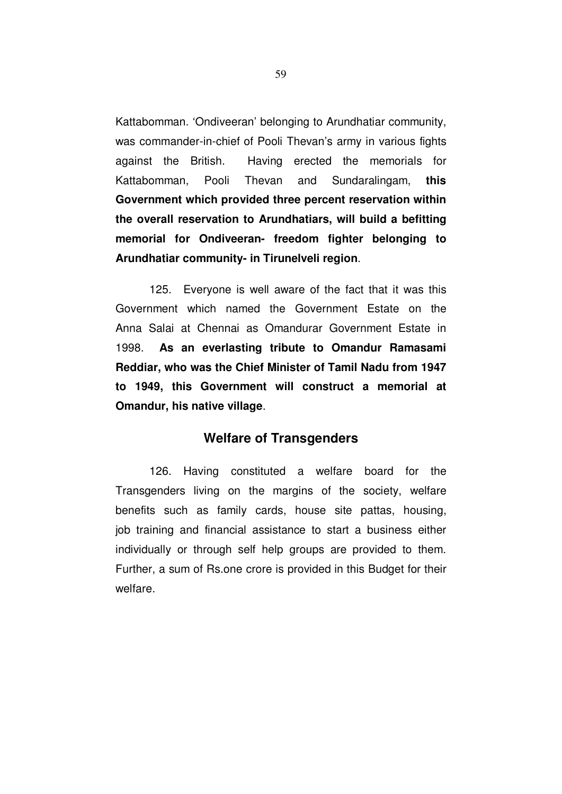Kattabomman. 'Ondiveeran' belonging to Arundhatiar community, was commander-in-chief of Pooli Thevan's army in various fights against the British. Having erected the memorials for Kattabomman, Pooli Thevan and Sundaralingam, **this Government which provided three percent reservation within the overall reservation to Arundhatiars, will build a befitting memorial for Ondiveeran- freedom fighter belonging to Arundhatiar community- in Tirunelveli region**.

125. Everyone is well aware of the fact that it was this Government which named the Government Estate on the Anna Salai at Chennai as Omandurar Government Estate in 1998. **As an everlasting tribute to Omandur Ramasami Reddiar, who was the Chief Minister of Tamil Nadu from 1947 to 1949, this Government will construct a memorial at Omandur, his native village**.

## **Welfare of Transgenders**

126. Having constituted a welfare board for the Transgenders living on the margins of the society, welfare benefits such as family cards, house site pattas, housing, job training and financial assistance to start a business either individually or through self help groups are provided to them. Further, a sum of Rs.one crore is provided in this Budget for their welfare.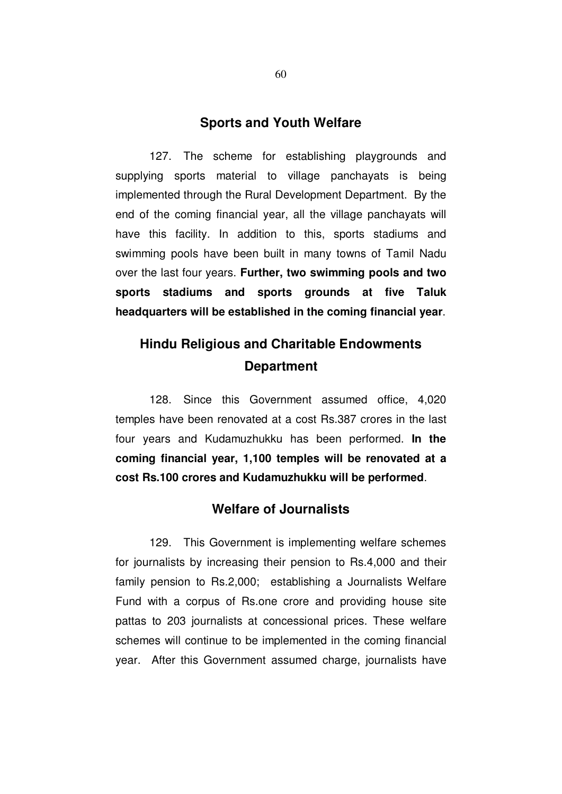### **Sports and Youth Welfare**

127. The scheme for establishing playgrounds and supplying sports material to village panchayats is being implemented through the Rural Development Department. By the end of the coming financial year, all the village panchayats will have this facility. In addition to this, sports stadiums and swimming pools have been built in many towns of Tamil Nadu over the last four years. **Further, two swimming pools and two sports stadiums and sports grounds at five Taluk headquarters will be established in the coming financial year**.

# **Hindu Religious and Charitable Endowments Department**

128. Since this Government assumed office, 4,020 temples have been renovated at a cost Rs.387 crores in the last four years and Kudamuzhukku has been performed. **In the coming financial year, 1,100 temples will be renovated at a cost Rs.100 crores and Kudamuzhukku will be performed**.

## **Welfare of Journalists**

129. This Government is implementing welfare schemes for journalists by increasing their pension to Rs.4,000 and their family pension to Rs.2,000; establishing a Journalists Welfare Fund with a corpus of Rs.one crore and providing house site pattas to 203 journalists at concessional prices. These welfare schemes will continue to be implemented in the coming financial year. After this Government assumed charge, journalists have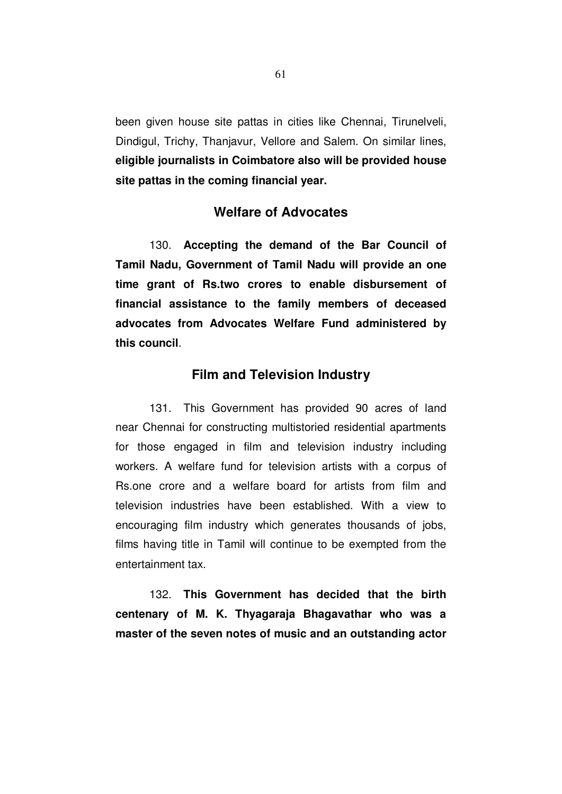been given house site pattas in cities like Chennai, Tirunelveli, Dindigul, Trichy, Thanjavur, Vellore and Salem. On similar lines, **eligible journalists in Coimbatore also will be provided house site pattas in the coming financial year.** 

# **Welfare of Advocates**

130. **Accepting the demand of the Bar Council of Tamil Nadu, Government of Tamil Nadu will provide an one time grant of Rs.two crores to enable disbursement of financial assistance to the family members of deceased advocates from Advocates Welfare Fund administered by this council**.

### **Film and Television Industry**

131. This Government has provided 90 acres of land near Chennai for constructing multistoried residential apartments for those engaged in film and television industry including workers. A welfare fund for television artists with a corpus of Rs.one crore and a welfare board for artists from film and television industries have been established. With a view to encouraging film industry which generates thousands of jobs, films having title in Tamil will continue to be exempted from the entertainment tax.

132. **This Government has decided that the birth centenary of M. K. Thyagaraja Bhagavathar who was a master of the seven notes of music and an outstanding actor**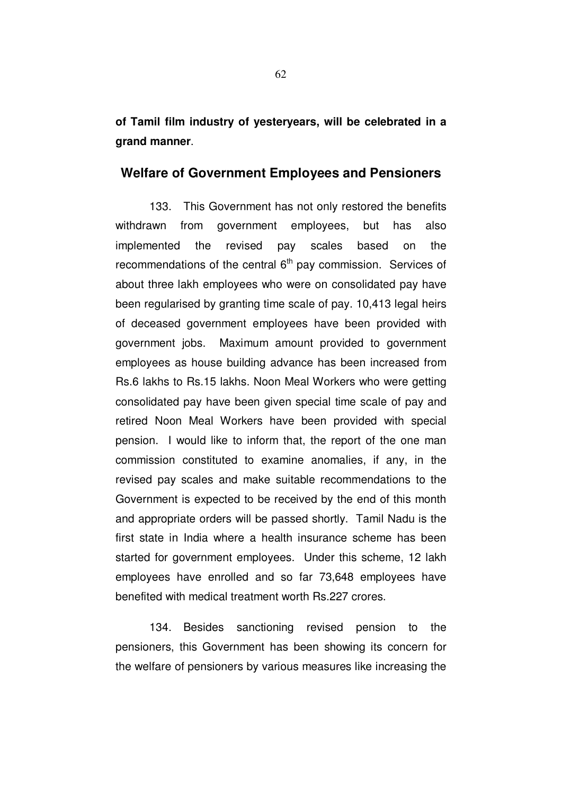**of Tamil film industry of yesteryears, will be celebrated in a grand manner**.

## **Welfare of Government Employees and Pensioners**

133. This Government has not only restored the benefits withdrawn from government employees, but has also implemented the revised pay scales based on the recommendations of the central  $6<sup>th</sup>$  pay commission. Services of about three lakh employees who were on consolidated pay have been regularised by granting time scale of pay. 10,413 legal heirs of deceased government employees have been provided with government jobs. Maximum amount provided to government employees as house building advance has been increased from Rs.6 lakhs to Rs.15 lakhs. Noon Meal Workers who were getting consolidated pay have been given special time scale of pay and retired Noon Meal Workers have been provided with special pension. I would like to inform that, the report of the one man commission constituted to examine anomalies, if any, in the revised pay scales and make suitable recommendations to the Government is expected to be received by the end of this month and appropriate orders will be passed shortly. Tamil Nadu is the first state in India where a health insurance scheme has been started for government employees. Under this scheme, 12 lakh employees have enrolled and so far 73,648 employees have benefited with medical treatment worth Rs.227 crores.

134. Besides sanctioning revised pension to the pensioners, this Government has been showing its concern for the welfare of pensioners by various measures like increasing the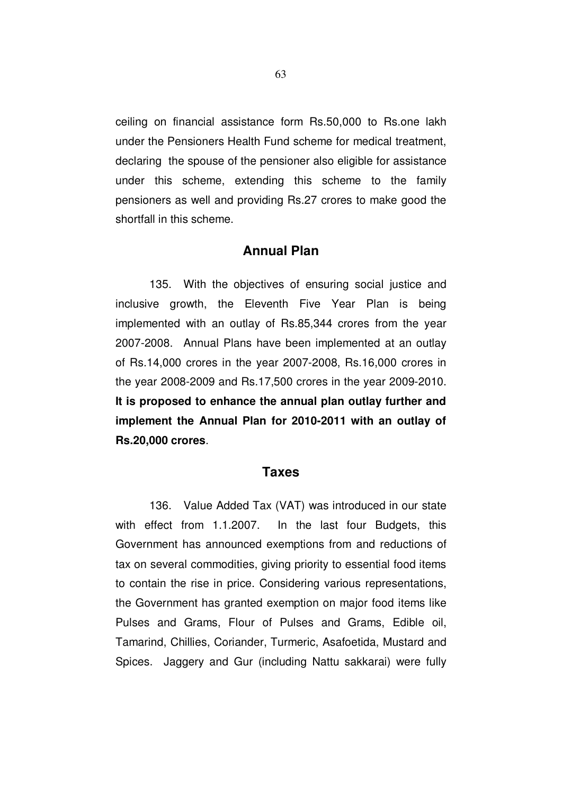ceiling on financial assistance form Rs.50,000 to Rs.one lakh under the Pensioners Health Fund scheme for medical treatment, declaring the spouse of the pensioner also eligible for assistance under this scheme, extending this scheme to the family pensioners as well and providing Rs.27 crores to make good the shortfall in this scheme.

### **Annual Plan**

135. With the objectives of ensuring social justice and inclusive growth, the Eleventh Five Year Plan is being implemented with an outlay of Rs.85,344 crores from the year 2007-2008. Annual Plans have been implemented at an outlay of Rs.14,000 crores in the year 2007-2008, Rs.16,000 crores in the year 2008-2009 and Rs.17,500 crores in the year 2009-2010. **It is proposed to enhance the annual plan outlay further and implement the Annual Plan for 2010-2011 with an outlay of Rs.20,000 crores**.

### **Taxes**

136. Value Added Tax (VAT) was introduced in our state with effect from 1.1.2007. In the last four Budgets, this Government has announced exemptions from and reductions of tax on several commodities, giving priority to essential food items to contain the rise in price. Considering various representations, the Government has granted exemption on major food items like Pulses and Grams, Flour of Pulses and Grams, Edible oil, Tamarind, Chillies, Coriander, Turmeric, Asafoetida, Mustard and Spices. Jaggery and Gur (including Nattu sakkarai) were fully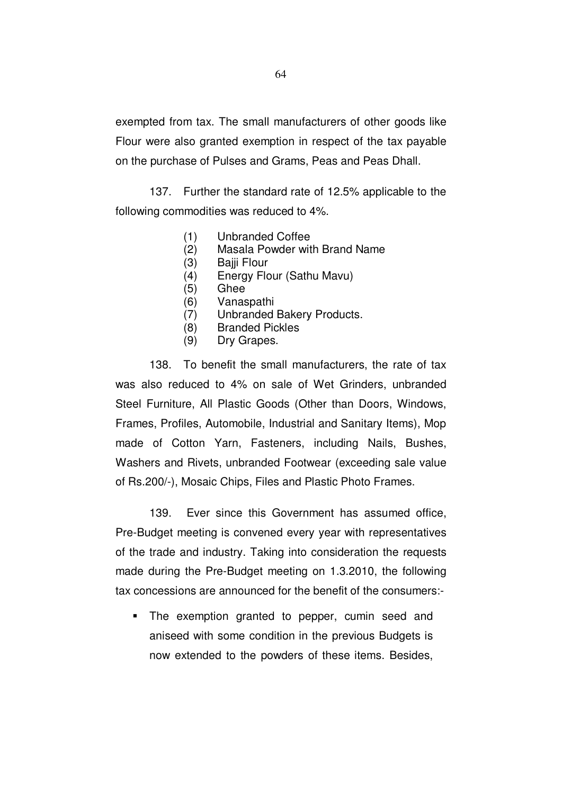exempted from tax. The small manufacturers of other goods like Flour were also granted exemption in respect of the tax payable on the purchase of Pulses and Grams, Peas and Peas Dhall.

137. Further the standard rate of 12.5% applicable to the following commodities was reduced to 4%.

- (1) Unbranded Coffee
- (2) Masala Powder with Brand Name
- (3) Bajji Flour
- (4) Energy Flour (Sathu Mavu)
- (5) Ghee
- (6) Vanaspathi
- (7) Unbranded Bakery Products.
- (8) Branded Pickles
- (9) Dry Grapes.

138. To benefit the small manufacturers, the rate of tax was also reduced to 4% on sale of Wet Grinders, unbranded Steel Furniture, All Plastic Goods (Other than Doors, Windows, Frames, Profiles, Automobile, Industrial and Sanitary Items), Mop made of Cotton Yarn, Fasteners, including Nails, Bushes, Washers and Rivets, unbranded Footwear (exceeding sale value of Rs.200/-), Mosaic Chips, Files and Plastic Photo Frames.

139. Ever since this Government has assumed office, Pre-Budget meeting is convened every year with representatives of the trade and industry. Taking into consideration the requests made during the Pre-Budget meeting on 1.3.2010, the following tax concessions are announced for the benefit of the consumers:-

• The exemption granted to pepper, cumin seed and aniseed with some condition in the previous Budgets is now extended to the powders of these items. Besides,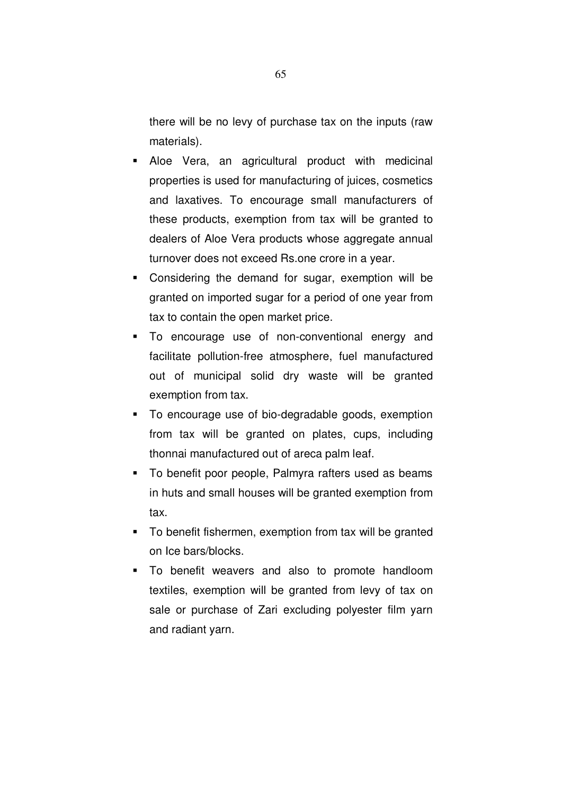there will be no levy of purchase tax on the inputs (raw materials).

- Aloe Vera, an agricultural product with medicinal properties is used for manufacturing of juices, cosmetics and laxatives. To encourage small manufacturers of these products, exemption from tax will be granted to dealers of Aloe Vera products whose aggregate annual turnover does not exceed Rs.one crore in a year.
- Considering the demand for sugar, exemption will be granted on imported sugar for a period of one year from tax to contain the open market price.
- To encourage use of non-conventional energy and facilitate pollution-free atmosphere, fuel manufactured out of municipal solid dry waste will be granted exemption from tax.
- To encourage use of bio-degradable goods, exemption from tax will be granted on plates, cups, including thonnai manufactured out of areca palm leaf.
- To benefit poor people, Palmyra rafters used as beams in huts and small houses will be granted exemption from tax.
- To benefit fishermen, exemption from tax will be granted on Ice bars/blocks.
- To benefit weavers and also to promote handloom textiles, exemption will be granted from levy of tax on sale or purchase of Zari excluding polyester film yarn and radiant yarn.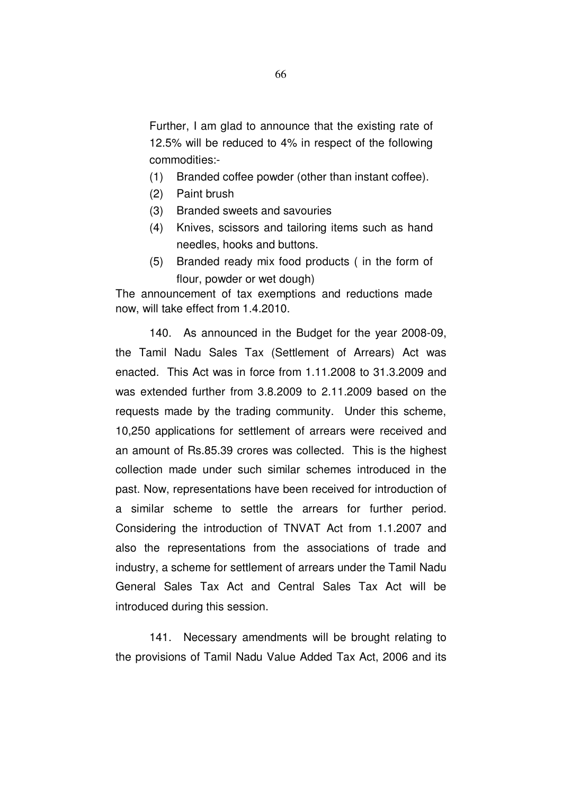Further, I am glad to announce that the existing rate of 12.5% will be reduced to 4% in respect of the following commodities:-

- (1) Branded coffee powder (other than instant coffee).
- (2) Paint brush
- (3) Branded sweets and savouries
- (4) Knives, scissors and tailoring items such as hand needles, hooks and buttons.
- (5) Branded ready mix food products ( in the form of flour, powder or wet dough)

The announcement of tax exemptions and reductions made now, will take effect from 1.4.2010.

140. As announced in the Budget for the year 2008-09, the Tamil Nadu Sales Tax (Settlement of Arrears) Act was enacted. This Act was in force from 1.11.2008 to 31.3.2009 and was extended further from 3.8.2009 to 2.11.2009 based on the requests made by the trading community. Under this scheme, 10,250 applications for settlement of arrears were received and an amount of Rs.85.39 crores was collected. This is the highest collection made under such similar schemes introduced in the past. Now, representations have been received for introduction of a similar scheme to settle the arrears for further period. Considering the introduction of TNVAT Act from 1.1.2007 and also the representations from the associations of trade and industry, a scheme for settlement of arrears under the Tamil Nadu General Sales Tax Act and Central Sales Tax Act will be introduced during this session.

141. Necessary amendments will be brought relating to the provisions of Tamil Nadu Value Added Tax Act, 2006 and its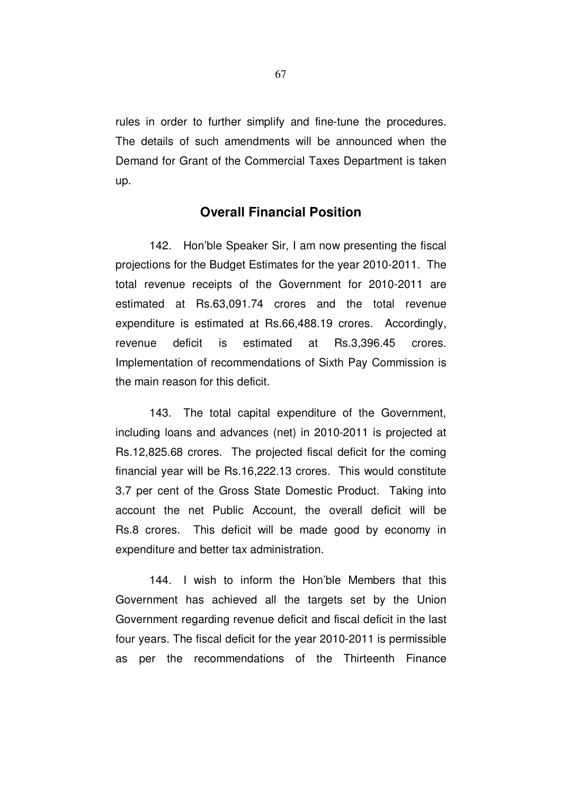rules in order to further simplify and fine-tune the procedures. The details of such amendments will be announced when the Demand for Grant of the Commercial Taxes Department is taken up.

# **Overall Financial Position**

142. Hon'ble Speaker Sir, I am now presenting the fiscal projections for the Budget Estimates for the year 2010-2011. The total revenue receipts of the Government for 2010-2011 are estimated at Rs.63,091.74 crores and the total revenue expenditure is estimated at Rs.66,488.19 crores. Accordingly, revenue deficit is estimated at Rs.3,396.45 crores. Implementation of recommendations of Sixth Pay Commission is the main reason for this deficit.

143. The total capital expenditure of the Government, including loans and advances (net) in 2010-2011 is projected at Rs.12,825.68 crores. The projected fiscal deficit for the coming financial year will be Rs.16,222.13 crores. This would constitute 3.7 per cent of the Gross State Domestic Product. Taking into account the net Public Account, the overall deficit will be Rs.8 crores. This deficit will be made good by economy in expenditure and better tax administration.

144. I wish to inform the Hon'ble Members that this Government has achieved all the targets set by the Union Government regarding revenue deficit and fiscal deficit in the last four years. The fiscal deficit for the year 2010-2011 is permissible as per the recommendations of the Thirteenth Finance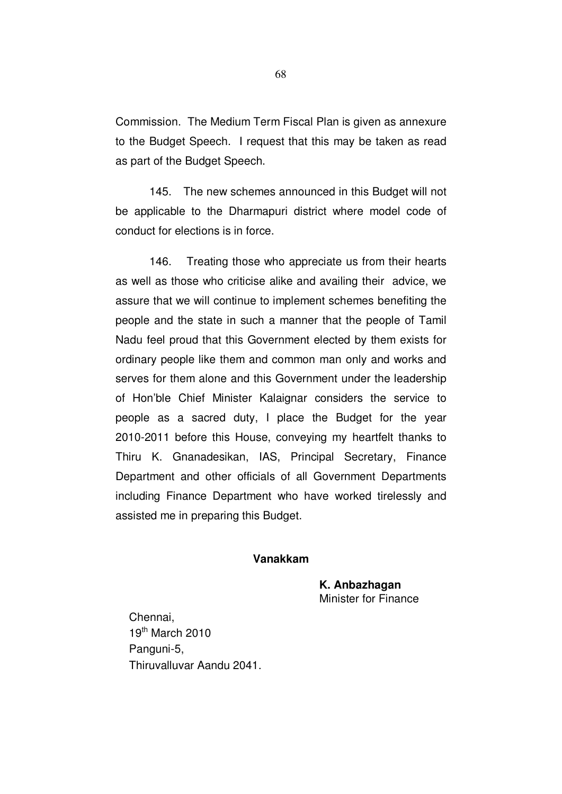Commission. The Medium Term Fiscal Plan is given as annexure to the Budget Speech. I request that this may be taken as read as part of the Budget Speech.

145. The new schemes announced in this Budget will not be applicable to the Dharmapuri district where model code of conduct for elections is in force.

146. Treating those who appreciate us from their hearts as well as those who criticise alike and availing their advice, we assure that we will continue to implement schemes benefiting the people and the state in such a manner that the people of Tamil Nadu feel proud that this Government elected by them exists for ordinary people like them and common man only and works and serves for them alone and this Government under the leadership of Hon'ble Chief Minister Kalaignar considers the service to people as a sacred duty, I place the Budget for the year 2010-2011 before this House, conveying my heartfelt thanks to Thiru K. Gnanadesikan, IAS, Principal Secretary, Finance Department and other officials of all Government Departments including Finance Department who have worked tirelessly and assisted me in preparing this Budget.

#### **Vanakkam**

**K. Anbazhagan**  Minister for Finance

Chennai,  $19<sup>th</sup>$  March 2010 Panguni-5, Thiruvalluvar Aandu 2041.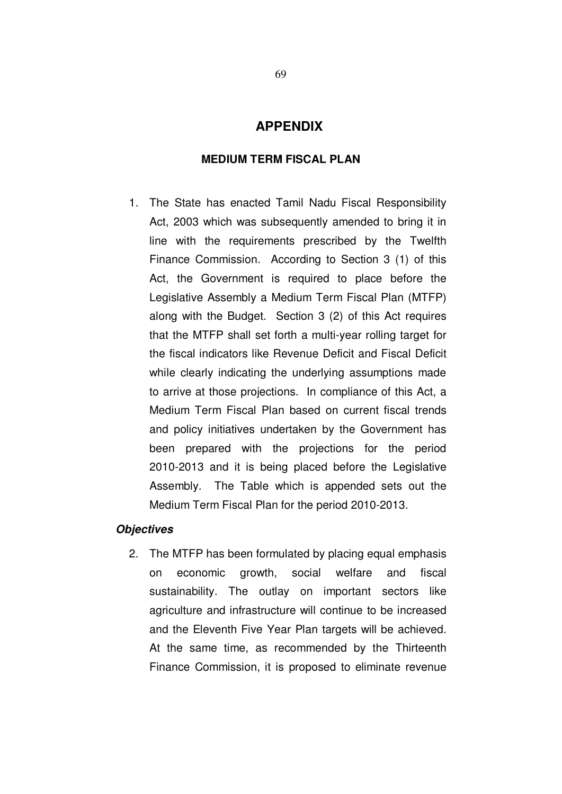# **APPENDIX**

#### **MEDIUM TERM FISCAL PLAN**

1. The State has enacted Tamil Nadu Fiscal Responsibility Act, 2003 which was subsequently amended to bring it in line with the requirements prescribed by the Twelfth Finance Commission. According to Section 3 (1) of this Act, the Government is required to place before the Legislative Assembly a Medium Term Fiscal Plan (MTFP) along with the Budget. Section 3 (2) of this Act requires that the MTFP shall set forth a multi-year rolling target for the fiscal indicators like Revenue Deficit and Fiscal Deficit while clearly indicating the underlying assumptions made to arrive at those projections. In compliance of this Act, a Medium Term Fiscal Plan based on current fiscal trends and policy initiatives undertaken by the Government has been prepared with the projections for the period 2010-2013 and it is being placed before the Legislative Assembly. The Table which is appended sets out the Medium Term Fiscal Plan for the period 2010-2013.

#### **Objectives**

2. The MTFP has been formulated by placing equal emphasis on economic growth, social welfare and fiscal sustainability. The outlay on important sectors like agriculture and infrastructure will continue to be increased and the Eleventh Five Year Plan targets will be achieved. At the same time, as recommended by the Thirteenth Finance Commission, it is proposed to eliminate revenue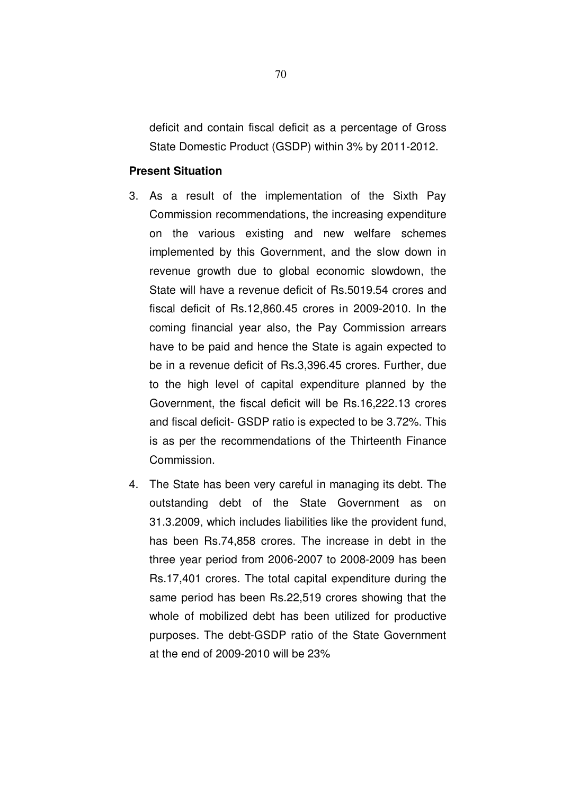deficit and contain fiscal deficit as a percentage of Gross State Domestic Product (GSDP) within 3% by 2011-2012.

#### **Present Situation**

- 3. As a result of the implementation of the Sixth Pay Commission recommendations, the increasing expenditure on the various existing and new welfare schemes implemented by this Government, and the slow down in revenue growth due to global economic slowdown, the State will have a revenue deficit of Rs.5019.54 crores and fiscal deficit of Rs.12,860.45 crores in 2009-2010. In the coming financial year also, the Pay Commission arrears have to be paid and hence the State is again expected to be in a revenue deficit of Rs.3,396.45 crores. Further, due to the high level of capital expenditure planned by the Government, the fiscal deficit will be Rs.16,222.13 crores and fiscal deficit- GSDP ratio is expected to be 3.72%. This is as per the recommendations of the Thirteenth Finance Commission.
- 4. The State has been very careful in managing its debt. The outstanding debt of the State Government as on 31.3.2009, which includes liabilities like the provident fund, has been Rs.74,858 crores. The increase in debt in the three year period from 2006-2007 to 2008-2009 has been Rs.17,401 crores. The total capital expenditure during the same period has been Rs.22,519 crores showing that the whole of mobilized debt has been utilized for productive purposes. The debt-GSDP ratio of the State Government at the end of 2009-2010 will be 23%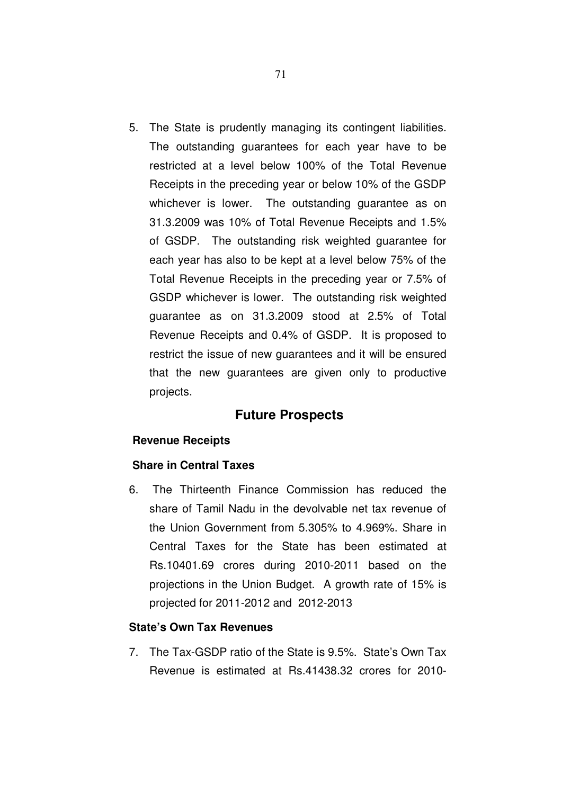5. The State is prudently managing its contingent liabilities. The outstanding guarantees for each year have to be restricted at a level below 100% of the Total Revenue Receipts in the preceding year or below 10% of the GSDP whichever is lower. The outstanding guarantee as on 31.3.2009 was 10% of Total Revenue Receipts and 1.5% of GSDP. The outstanding risk weighted guarantee for each year has also to be kept at a level below 75% of the Total Revenue Receipts in the preceding year or 7.5% of GSDP whichever is lower. The outstanding risk weighted guarantee as on 31.3.2009 stood at 2.5% of Total Revenue Receipts and 0.4% of GSDP. It is proposed to restrict the issue of new guarantees and it will be ensured that the new guarantees are given only to productive projects.

# **Future Prospects**

#### **Revenue Receipts**

#### **Share in Central Taxes**

6. The Thirteenth Finance Commission has reduced the share of Tamil Nadu in the devolvable net tax revenue of the Union Government from 5.305% to 4.969%. Share in Central Taxes for the State has been estimated at Rs.10401.69 crores during 2010-2011 based on the projections in the Union Budget. A growth rate of 15% is projected for 2011-2012 and 2012-2013

### **State's Own Tax Revenues**

7. The Tax-GSDP ratio of the State is 9.5%. State's Own Tax Revenue is estimated at Rs.41438.32 crores for 2010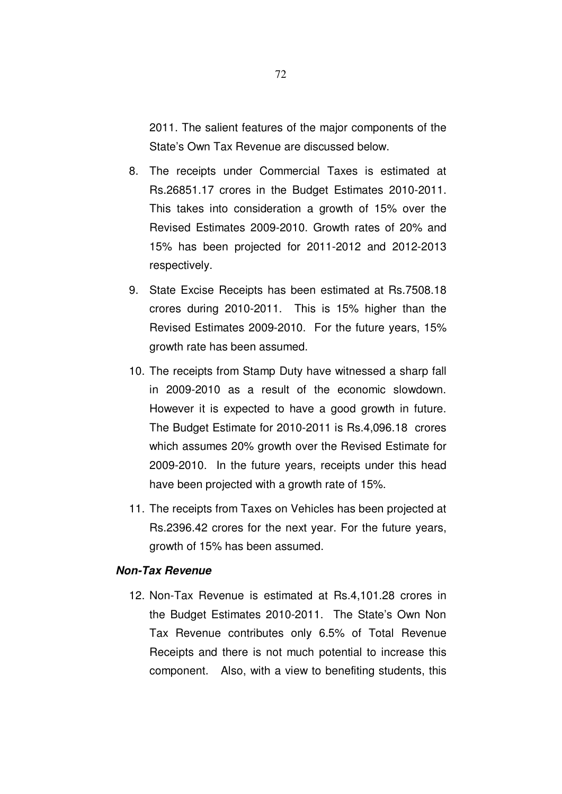2011. The salient features of the major components of the State's Own Tax Revenue are discussed below.

- 8. The receipts under Commercial Taxes is estimated at Rs.26851.17 crores in the Budget Estimates 2010-2011. This takes into consideration a growth of 15% over the Revised Estimates 2009-2010. Growth rates of 20% and 15% has been projected for 2011-2012 and 2012-2013 respectively.
- 9. State Excise Receipts has been estimated at Rs.7508.18 crores during 2010-2011. This is 15% higher than the Revised Estimates 2009-2010. For the future years, 15% growth rate has been assumed.
- 10. The receipts from Stamp Duty have witnessed a sharp fall in 2009-2010 as a result of the economic slowdown. However it is expected to have a good growth in future. The Budget Estimate for 2010-2011 is Rs.4,096.18 crores which assumes 20% growth over the Revised Estimate for 2009-2010. In the future years, receipts under this head have been projected with a growth rate of 15%.
- 11. The receipts from Taxes on Vehicles has been projected at Rs.2396.42 crores for the next year. For the future years, growth of 15% has been assumed.

#### **Non-Tax Revenue**

12. Non-Tax Revenue is estimated at Rs.4,101.28 crores in the Budget Estimates 2010-2011. The State's Own Non Tax Revenue contributes only 6.5% of Total Revenue Receipts and there is not much potential to increase this component. Also, with a view to benefiting students, this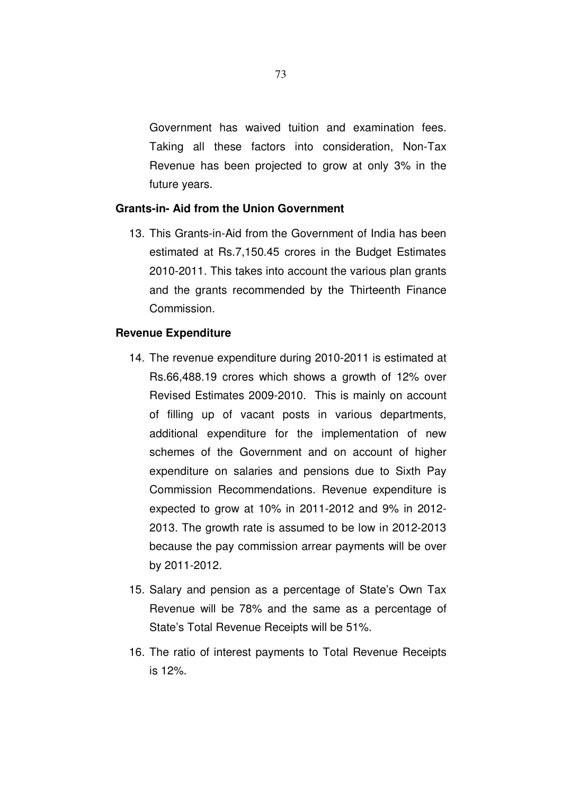Government has waived tuition and examination fees. Taking all these factors into consideration, Non-Tax Revenue has been projected to grow at only 3% in the future years.

## **Grants-in- Aid from the Union Government**

13. This Grants-in-Aid from the Government of India has been estimated at Rs.7,150.45 crores in the Budget Estimates 2010-2011. This takes into account the various plan grants and the grants recommended by the Thirteenth Finance Commission.

## **Revenue Expenditure**

- 14. The revenue expenditure during 2010-2011 is estimated at Rs.66,488.19 crores which shows a growth of 12% over Revised Estimates 2009-2010. This is mainly on account of filling up of vacant posts in various departments, additional expenditure for the implementation of new schemes of the Government and on account of higher expenditure on salaries and pensions due to Sixth Pay Commission Recommendations. Revenue expenditure is expected to grow at 10% in 2011-2012 and 9% in 2012- 2013. The growth rate is assumed to be low in 2012-2013 because the pay commission arrear payments will be over by 2011-2012.
- 15. Salary and pension as a percentage of State's Own Tax Revenue will be 78% and the same as a percentage of State's Total Revenue Receipts will be 51%.
- 16. The ratio of interest payments to Total Revenue Receipts is 12%.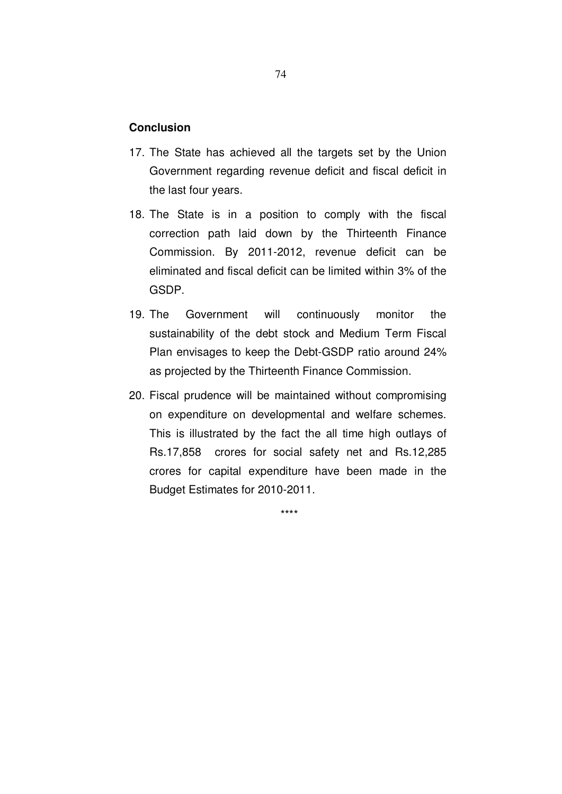## **Conclusion**

- 17. The State has achieved all the targets set by the Union Government regarding revenue deficit and fiscal deficit in the last four years.
- 18. The State is in a position to comply with the fiscal correction path laid down by the Thirteenth Finance Commission. By 2011-2012, revenue deficit can be eliminated and fiscal deficit can be limited within 3% of the GSDP.
- 19. The Government will continuously monitor the sustainability of the debt stock and Medium Term Fiscal Plan envisages to keep the Debt-GSDP ratio around 24% as projected by the Thirteenth Finance Commission.
- 20. Fiscal prudence will be maintained without compromising on expenditure on developmental and welfare schemes. This is illustrated by the fact the all time high outlays of Rs.17,858 crores for social safety net and Rs.12,285 crores for capital expenditure have been made in the Budget Estimates for 2010-2011.

\*\*\*\*